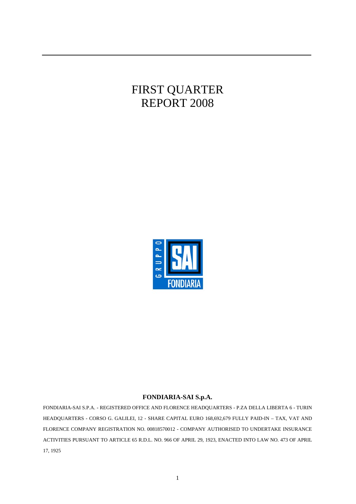## FIRST QUARTER REPORT 2008



#### **FONDIARIA-SAI S.p.A.**

FONDIARIA-SAI S.P.A. - REGISTERED OFFICE AND FLORENCE HEADQUARTERS - P.ZA DELLA LIBERTA 6 - TURIN HEADQUARTERS - CORSO G. GALILEI, 12 - SHARE CAPITAL EURO 168,692,679 FULLY PAID-IN – TAX, VAT AND FLORENCE COMPANY REGISTRATION NO. 00818570012 - COMPANY AUTHORISED TO UNDERTAKE INSURANCE ACTIVITIES PURSUANT TO ARTICLE 65 R.D.L. NO. 966 OF APRIL 29, 1923, ENACTED INTO LAW NO. 473 OF APRIL 17, 1925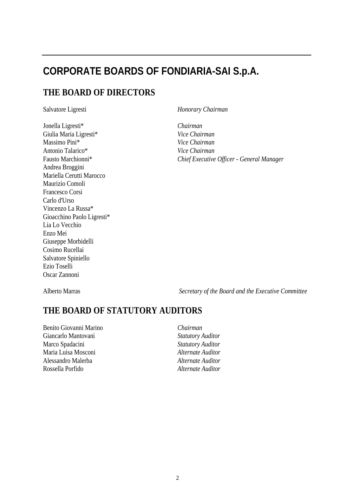## **CORPORATE BOARDS OF FONDIARIA-SAI S.p.A.**

## **THE BOARD OF DIRECTORS**

Jonella Ligresti\* *Chairman*  Giulia Maria Ligresti\* *Vice Chairman*  Massimo Pini\* *Vice Chairman*  Antonio Talarico\* *Vice Chairman*  Andrea Broggini Mariella Cerutti Marocco Maurizio Comoli Francesco Corsi Carlo d'Urso Vincenzo La Russa\* Gioacchino Paolo Ligresti\* Lia Lo Vecchio Enzo Mei Giuseppe Morbidelli Cosimo Rucellai Salvatore Spiniello Ezio Toselli Oscar Zannoni

Salvatore Ligresti *Honorary Chairman* 

Fausto Marchionni\* *Chief Executive Officer - General Manager* 

Alberto Marras *Secretary of the Board and the Executive Committee* 

## **THE BOARD OF STATUTORY AUDITORS**

Benito Giovanni Marino *Chairman*  Giancarlo Mantovani *Statutory Auditor*  Marco Spadacini *Statutory Auditor*  Maria Luisa Mosconi *Alternate Auditor*  Alessandro Malerba *Alternate Auditor*  Rossella Porfido *Alternate Auditor*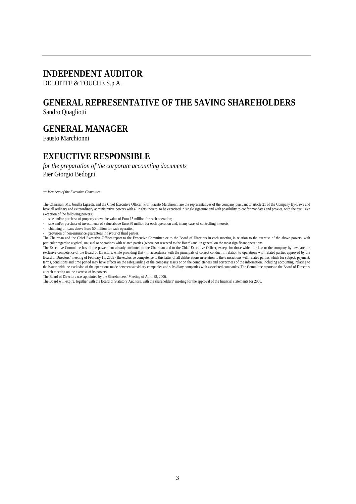## **INDEPENDENT AUDITOR**

#### DELOITTE & TOUCHE S.p.A.

## **GENERAL REPRESENTATIVE OF THE SAVING SHAREHOLDERS**

Sandro Quagliotti

**GENERAL MANAGER** 

Fausto Marchionni

## **EXEUCTIVE RESPONSIBLE**

*for the preparation of the corporate accounting documents*  Pier Giorgio Bedogni

*\*\* Members of the Executive Committee* 

The Chairman, Ms. Jonella Ligresti, and the Chief Executive Officer, Prof. Fausto Marchionni are the representatives of the company pursuant to article 21 of the Company By-Laws and have all ordinary and extraordinary administrative powers with all rights thereto, to be exercised in single signature and with possibility to confer mandates and proxies, with the exclusive exception of the following powers;

- sale and/or purchase of property above the value of Euro 15 million for each operation;
- sale and/or purchase of investments of value above Euro 30 million for each operation and, in any case, of controlling interests;
- obtaining of loans above Euro 50 million for each operation;
- provision of non-insurance guarantees in favour of third parties.

The Chairman and the Chief Executive Officer report to the Executive Committee or to the Board of Directors in each meeting in relation to the exercise of the above powers, with particular regard to atypical, unusual or operations with related parties (where not reserved to the Board) and, in general on the most significant operations.

The Executive Committee has all the powers not already attributed to the Chairman and to the Chief Executive Officer, except for those which for law or the company by-laws are the exclusive competence of the Board of Directors, while providing that - in accordance with the principals of correct conduct in relation to operations with related parties approved by the Board of Directors' meeting of February 16, 2005 - the exclusive competence to this latter of all deliberations in relation to the transactions with related parties which for subject, payment, terms, conditions and time period may have effects on the safeguarding of the company assets or on the completeness and correctness of the information, including accounting, relating to the issuer, with the exclusion of the operations made between subsidiary companies and subsidiary companies with associated companies. The Committee reports to the Board of Directors at each meeting on the exercise of its powers.

The Board of Directors was appointed by the Shareholders' Meeting of April 28, 2006.

The Board will expire, together with the Board of Statutory Auditors, with the shareholders' meeting for the approval of the financial statements for 2008.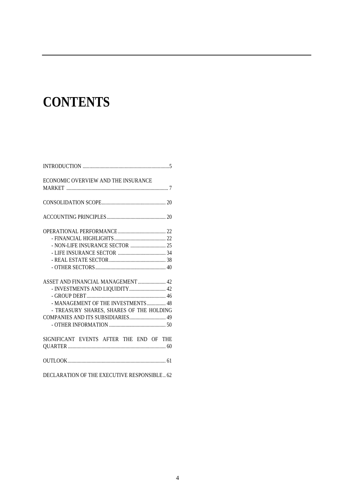# **CONTENTS**

| ECONOMIC OVERVIEW AND THE INSURANCE         |
|---------------------------------------------|
|                                             |
|                                             |
|                                             |
|                                             |
|                                             |
|                                             |
|                                             |
|                                             |
|                                             |
|                                             |
| ASSET AND FINANCIAL MANAGEMENT  42          |
| - INVESTMENTS AND LIQUIDITY 42              |
|                                             |
| - MANAGEMENT OF THE INVESTMENTS  48         |
| - TREASURY SHARES, SHARES OF THE HOLDING    |
|                                             |
|                                             |
|                                             |
| SIGNIFICANT EVENTS AFTER THE END OF THE     |
|                                             |
|                                             |
| DECLARATION OF THE EXECUTIVE RESPONSIBLE 62 |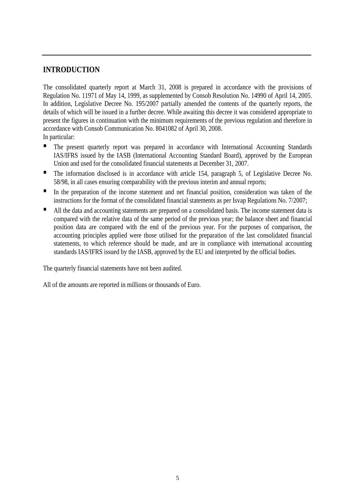## **INTRODUCTION**

The consolidated quarterly report at March 31, 2008 is prepared in accordance with the provisions of Regulation No. 11971 of May 14, 1999, as supplemented by Consob Resolution No. 14990 of April 14, 2005. In addition, Legislative Decree No. 195/2007 partially amended the contents of the quarterly reports, the details of which will be issued in a further decree. While awaiting this decree it was considered appropriate to present the figures in continuation with the minimum requirements of the previous regulation and therefore in accordance with Consob Communication No. 8041082 of April 30, 2008. In particular:

- The present quarterly report was prepared in accordance with International Accounting Standards IAS/IFRS issued by the IASB (International Accounting Standard Board), approved by the European Union and used for the consolidated financial statements at December 31, 2007.
- The information disclosed is in accordance with article 154, paragraph 5, of Legislative Decree No. 58/98, in all cases ensuring comparability with the previous interim and annual reports;
- In the preparation of the income statement and net financial position, consideration was taken of the instructions for the format of the consolidated financial statements as per Isvap Regulations No. 7/2007;
- All the data and accounting statements are prepared on a consolidated basis. The income statement data is compared with the relative data of the same period of the previous year; the balance sheet and financial position data are compared with the end of the previous year. For the purposes of comparison, the accounting principles applied were those utilised for the preparation of the last consolidated financial statements, to which reference should be made, and are in compliance with international accounting standards IAS/IFRS issued by the IASB, approved by the EU and interpreted by the official bodies.

The quarterly financial statements have not been audited.

All of the amounts are reported in millions or thousands of Euro.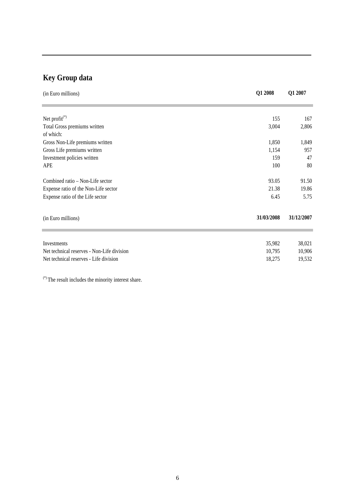## **Key Group data**

| (in Euro millions)                         | Q1 2008    | Q1 2007    |
|--------------------------------------------|------------|------------|
|                                            |            |            |
| Net profit <sup>(*)</sup>                  | 155        | 167        |
| Total Gross premiums written               | 3,004      | 2,806      |
| of which:                                  |            |            |
| Gross Non-Life premiums written            | 1,850      | 1,849      |
| Gross Life premiums written                | 1,154      | 957        |
| Investment policies written                | 159        | 47         |
| APE                                        | 100        | 80         |
| Combined ratio – Non-Life sector           | 93.05      | 91.50      |
| Expense ratio of the Non-Life sector       | 21.38      | 19.86      |
| Expense ratio of the Life sector           | 6.45       | 5.75       |
| (in Euro millions)                         | 31/03/2008 | 31/12/2007 |
|                                            |            |            |
| Investments                                | 35,982     | 38,021     |
| Net technical reserves - Non-Life division | 10,795     | 10,906     |
| Net technical reserves - Life division     | 18,275     | 19,532     |

(\*) The result includes the minority interest share.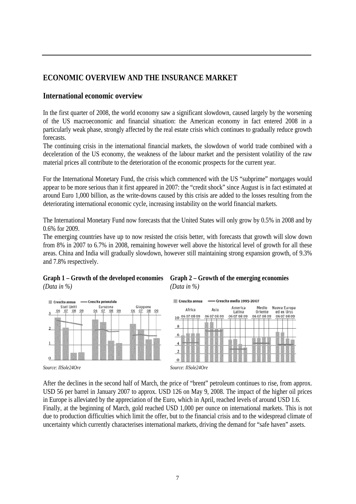## **ECONOMIC OVERVIEW AND THE INSURANCE MARKET**

### **International economic overview**

In the first quarter of 2008, the world economy saw a significant slowdown, caused largely by the worsening of the US macroeconomic and financial situation: the American economy in fact entered 2008 in a particularly weak phase, strongly affected by the real estate crisis which continues to gradually reduce growth forecasts.

The continuing crisis in the international financial markets, the slowdown of world trade combined with a deceleration of the US economy, the weakness of the labour market and the persistent volatility of the raw material prices all contribute to the deterioration of the economic prospects for the current year.

For the International Monetary Fund, the crisis which commenced with the US "subprime" mortgages would appear to be more serious than it first appeared in 2007: the "credit shock" since August is in fact estimated at around Euro 1,000 billion, as the write-downs caused by this crisis are added to the losses resulting from the deteriorating international economic cycle, increasing instability on the world financial markets.

The International Monetary Fund now forecasts that the United States will only grow by 0.5% in 2008 and by 0.6% for 2009.

The emerging countries have up to now resisted the crisis better, with forecasts that growth will slow down from 8% in 2007 to 6.7% in 2008, remaining however well above the historical level of growth for all these areas. China and India will gradually slowdown, however still maintaining strong expansion growth, of 9.3% and 7.8% respectively.











After the declines in the second half of March, the price of "brent" petroleum continues to rise, from approx. USD 56 per barrel in January 2007 to approx. USD 126 on May 9, 2008. The impact of the higher oil prices in Europe is alleviated by the appreciation of the Euro, which in April, reached levels of around USD 1.6. Finally, at the beginning of March, gold reached USD 1,000 per ounce on international markets. This is not due to production difficulties which limit the offer, but to the financial crisis and to the widespread climate of uncertainty which currently characterises international markets, driving the demand for "safe haven" assets.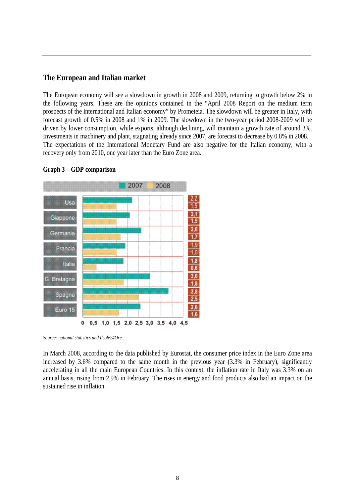#### **The European and Italian market**

The European economy will see a slowdown in growth in 2008 and 2009, returning to growth below 2% in the following years. These are the opinions contained in the "April 2008 Report on the medium term prospects of the international and Italian economy" by Prometeia. The slowdown will be greater in Italy, with forecast growth of 0.5% in 2008 and 1% in 2009. The slowdown in the two-year period 2008-2009 will be driven by lower consumption, while exports, although declining, will maintain a growth rate of around 3%. Investments in machinery and plant, stagnating already since 2007, are forecast to decrease by 0.8% in 2008. The expectations of the International Monetary Fund are also negative for the Italian economy, with a recovery only from 2010, one year later than the Euro Zone area.



#### **Graph 3 – GDP comparison**

*Source: national statistics and Ilsole24Ore*

In March 2008, according to the data published by Eurostat, the consumer price index in the Euro Zone area increased by 3.6% compared to the same month in the previous year (3.3% in February), significantly accelerating in all the main European Countries. In this context, the inflation rate in Italy was 3.3% on an annual basis, rising from 2.9% in February. The rises in energy and food products also had an impact on the sustained rise in inflation.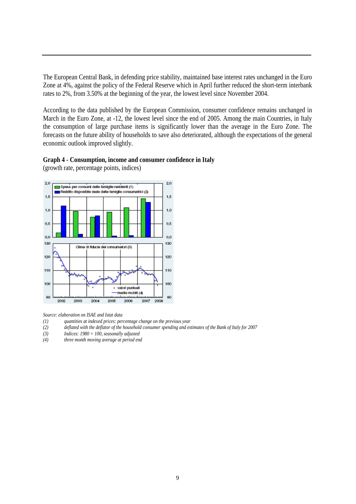The European Central Bank, in defending price stability, maintained base interest rates unchanged in the Euro Zone at 4%, against the policy of the Federal Reserve which in April further reduced the short-term interbank rates to 2%, from 3.50% at the beginning of the year, the lowest level since November 2004.

According to the data published by the European Commission, consumer confidence remains unchanged in March in the Euro Zone, at -12, the lowest level since the end of 2005. Among the main Countries, in Italy the consumption of large purchase items is significantly lower than the average in the Euro Zone. The forecasts on the future ability of households to save also deteriorated, although the expectations of the general economic outlook improved slightly.



(growth rate, percentage points, indices)



*Source: elaboration on ISAE and Istat data*

- *(1) quantities at indexed prices: percentage change on the previous year*
- *(2) deflated with the deflator of the household consumer spending and estimates of the Bank of Italy for 2007*
- *(3) Indices: 1980 = 100, seasonally adjusted*
- *(4) three month moving average at period end*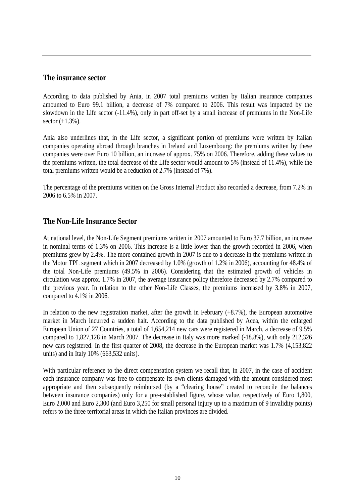#### **The insurance sector**

According to data published by Ania, in 2007 total premiums written by Italian insurance companies amounted to Euro 99.1 billion, a decrease of 7% compared to 2006. This result was impacted by the slowdown in the Life sector (-11.4%), only in part off-set by a small increase of premiums in the Non-Life sector (+1.3%).

Ania also underlines that, in the Life sector, a significant portion of premiums were written by Italian companies operating abroad through branches in Ireland and Luxembourg: the premiums written by these companies were over Euro 10 billion, an increase of approx. 75% on 2006. Therefore, adding these values to the premiums written, the total decrease of the Life sector would amount to 5% (instead of 11.4%), while the total premiums written would be a reduction of 2.7% (instead of 7%).

The percentage of the premiums written on the Gross Internal Product also recorded a decrease, from 7.2% in 2006 to 6.5% in 2007.

#### **The Non-Life Insurance Sector**

At national level, the Non-Life Segment premiums written in 2007 amounted to Euro 37.7 billion, an increase in nominal terms of 1.3% on 2006. This increase is a little lower than the growth recorded in 2006, when premiums grew by 2.4%. The more contained growth in 2007 is due to a decrease in the premiums written in the Motor TPL segment which in 2007 decreased by 1.0% (growth of 1.2% in 2006), accounting for 48.4% of the total Non-Life premiums (49.5% in 2006). Considering that the estimated growth of vehicles in circulation was approx. 1.7% in 2007, the average insurance policy therefore decreased by 2.7% compared to the previous year. In relation to the other Non-Life Classes, the premiums increased by 3.8% in 2007, compared to 4.1% in 2006.

In relation to the new registration market, after the growth in February (+8.7%), the European automotive market in March incurred a sudden halt. According to the data published by Acea, within the enlarged European Union of 27 Countries, a total of 1,654,214 new cars were registered in March, a decrease of 9.5% compared to 1,827,128 in March 2007. The decrease in Italy was more marked (-18.8%), with only 212,326 new cars registered. In the first quarter of 2008, the decrease in the European market was 1.7% (4,153,822 units) and in Italy 10% (663,532 units).

With particular reference to the direct compensation system we recall that, in 2007, in the case of accident each insurance company was free to compensate its own clients damaged with the amount considered most appropriate and then subsequently reimbursed (by a "clearing house" created to reconcile the balances between insurance companies) only for a pre-established figure, whose value, respectively of Euro 1,800, Euro 2,000 and Euro 2,300 (and Euro 3,250 for small personal injury up to a maximum of 9 invalidity points) refers to the three territorial areas in which the Italian provinces are divided.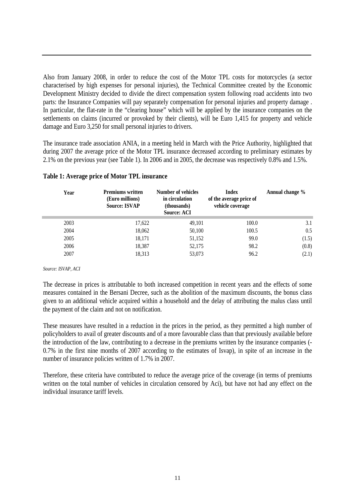Also from January 2008, in order to reduce the cost of the Motor TPL costs for motorcycles (a sector characterised by high expenses for personal injuries), the Technical Committee created by the Economic Development Ministry decided to divide the direct compensation system following road accidents into two parts: the Insurance Companies will pay separately compensation for personal injuries and property damage . In particular, the flat-rate in the "clearing house" which will be applied by the insurance companies on the settlements on claims (incurred or provoked by their clients), will be Euro 1,415 for property and vehicle damage and Euro 3,250 for small personal injuries to drivers.

The insurance trade association ANIA, in a meeting held in March with the Price Authority, highlighted that during 2007 the average price of the Motor TPL insurance decreased according to preliminary estimates by 2.1% on the previous year (see Table 1). In 2006 and in 2005, the decrease was respectively 0.8% and 1.5%.

| Year | <b>Premiums written</b><br>(Euro millions)<br><b>Source: ISVAP</b> | Number of vehicles<br>in circulation<br>(thousands)<br><b>Source: ACI</b> | <b>Index</b><br>of the average price of<br>vehicle coverage | Annual change % |
|------|--------------------------------------------------------------------|---------------------------------------------------------------------------|-------------------------------------------------------------|-----------------|
| 2003 | 17,622                                                             | 49,101                                                                    | 100.0                                                       | 3.1             |
| 2004 | 18,062                                                             | 50,100                                                                    | 100.5                                                       | 0.5             |
| 2005 | 18,171                                                             | 51,152                                                                    | 99.0                                                        | (1.5)           |
| 2006 | 18,387                                                             | 52,175                                                                    | 98.2                                                        | (0.8)           |
| 2007 | 18,313                                                             | 53,073                                                                    | 96.2                                                        | (2.1)           |

#### **Table 1: Average price of Motor TPL insurance**

#### *Source: ISVAP, ACI*

The decrease in prices is attributable to both increased competition in recent years and the effects of some measures contained in the Bersani Decree, such as the abolition of the maximum discounts, the bonus class given to an additional vehicle acquired within a household and the delay of attributing the malus class until the payment of the claim and not on notification.

These measures have resulted in a reduction in the prices in the period, as they permitted a high number of policyholders to avail of greater discounts and of a more favourable class than that previously available before the introduction of the law, contributing to a decrease in the premiums written by the insurance companies (- 0.7% in the first nine months of 2007 according to the estimates of Isvap), in spite of an increase in the number of insurance policies written of 1.7% in 2007.

Therefore, these criteria have contributed to reduce the average price of the coverage (in terms of premiums written on the total number of vehicles in circulation censored by Aci), but have not had any effect on the individual insurance tariff levels.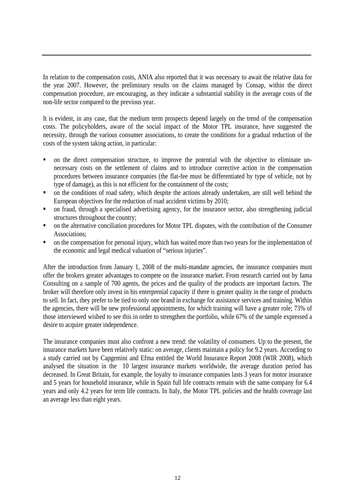In relation to the compensation costs, ANIA also reported that it was necessary to await the relative data for the year 2007. However, the preliminary results on the claims managed by Consap, within the direct compensation procedure, are encouraging, as they indicate a substantial stability in the average costs of the non-life sector compared to the previous year.

It is evident, in any case, that the medium term prospects depend largely on the trend of the compensation costs. The policyholders, aware of the social impact of the Motor TPL insurance, have suggested the necessity, through the various consumer associations, to create the conditions for a gradual reduction of the costs of the system taking action, in particular:

- on the direct compensation structure, to improve the potential with the objective to eliminate unnecessary costs on the settlement of claims and to introduce corrective action in the compensation procedures between insurance companies (the flat-fee must be differentiated by type of vehicle, not by type of damage), as this is not efficient for the containment of the costs;
- on the conditions of road safety, which despite the actions already undertaken, are still well behind the European objectives for the reduction of road accident victims by 2010;
- on fraud, through a specialised advertising agency, for the insurance sector, also strengthening judicial structures throughout the country;
- on the alternative conciliation procedures for Motor TPL disputes, with the contribution of the Consumer Associations;
- on the compensation for personal injury, which has waited more than two years for the implementation of the economic and legal medical valuation of "serious injuries".

After the introduction from January 1, 2008 of the multi-mandate agencies, the insurance companies must offer the brokers greater advantages to compete on the insurance market. From research carried out by Iama Consulting on a sample of 700 agents, the prices and the quality of the products are important factors. The broker will therefore only invest in his enterprenial capacity if there is greater quality in the range of products to sell. In fact, they prefer to be tied to only one brand in exchange for assistance services and training. Within the agencies, there will be new professional appointments, for which training will have a greater role; 73% of those interviewed wished to see this in order to strengthen the portfolio, while 67% of the sample expressed a desire to acquire greater independence.

The insurance companies must also confront a new trend: the volatility of consumers. Up to the present, the insurance markets have been relatively static: on average, clients maintain a policy for 9.2 years. According to a study carried out by Capgemini and Efma entitled the World Insurance Report 2008 (WIR 2008), which analysed the situation in the 10 largest insurance markets worldwide, the average duration period has decreased. In Great Britain, for example, the loyalty to insurance companies lasts 3 years for motor insurance and 5 years for household insurance, while in Spain full life contracts remain with the same company for 6.4 years and only 4.2 years for term life contracts. In Italy, the Motor TPL policies and the health coverage last an average less than eight years.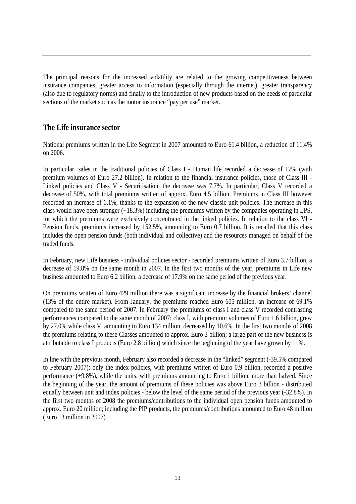The principal reasons for the increased volatility are related to the growing competitiveness between insurance companies, greater access to information (especially through the internet), greater transparency (also due to regulatory norms) and finally to the introduction of new products based on the needs of particular sections of the market such as the motor insurance "pay per use" market.

#### **The Life insurance sector**

National premiums written in the Life Segment in 2007 amounted to Euro 61.4 billion, a reduction of 11.4% on 2006.

In particular, sales in the traditional policies of Class I - Human life recorded a decrease of 17% (with premium volumes of Euro 27.2 billion). In relation to the financial insurance policies, those of Class III - Linked policies and Class V - Securitisation, the decrease was 7.7%. In particular, Class V recorded a decrease of 50%, with total premiums written of approx. Euro 4.5 billion. Premiums in Class III however recorded an increase of 6.1%, thanks to the expansion of the new classic unit policies. The increase in this class would have been stronger (+18.3%) including the premiums written by the companies operating in LPS, for which the premiums were exclusively concentrated in the linked policies. In relation to the class VI - Pension funds, premiums increased by 152.5%, amounting to Euro 0.7 billion. It is recalled that this class includes the open pension funds (both individual and collective) and the resources managed on behalf of the traded funds.

In February, new Life business - individual policies sector - recorded premiums written of Euro 3.7 billion, a decrease of 19.8% on the same month in 2007. In the first two months of the year, premiums in Life new business amounted to Euro 6.2 billion, a decrease of 17.9% on the same period of the previous year.

On premiums written of Euro 429 million there was a significant increase by the financial brokers' channel (13% of the entire market). From January, the premiums reached Euro 605 million, an increase of 69.1% compared to the same period of 2007. In February the premiums of class I and class V recorded contrasting performances compared to the same month of 2007: class I, with premium volumes of Euro 1.6 billion, grew by 27.0% while class V, amounting to Euro 134 million, decreased by 10.6%. In the first two months of 2008 the premiums relating to these Classes amounted to approx. Euro 3 billion; a large part of the new business is attributable to class I products (Euro 2.8 billion) which since the beginning of the year have grown by 11%.

In line with the previous month, February also recorded a decrease in the "linked" segment (-39.5% compared to February 2007); only the index policies, with premiums written of Euro 0.9 billion, recorded a positive performance (+9.8%), while the units, with premiums amounting to Euro 1 billion, more than halved. Since the beginning of the year, the amount of premiums of these policies was above Euro 3 billion - distributed equally between unit and index policies - below the level of the same period of the previous year (-32.8%). In the first two months of 2008 the premiums/contributions to the individual open pension funds amounted to approx. Euro 20 million; including the PIP products, the premiums/contributions amounted to Euro 48 million (Euro 13 million in 2007).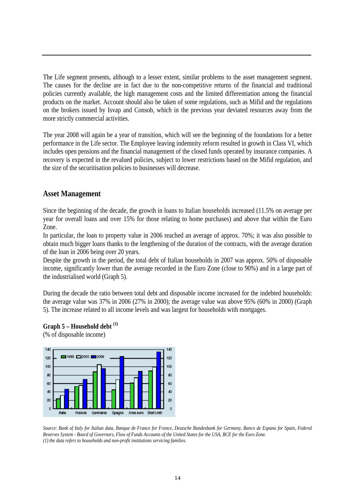The Life segment presents, although to a lesser extent, similar problems to the asset management segment. The causes for the decline are in fact due to the non-competitive returns of the financial and traditional policies currently available, the high management costs and the limited differentiation among the financial products on the market. Account should also be taken of some regulations, such as Mifid and the regulations on the brokers issued by Isvap and Consob, which in the previous year deviated resources away from the more strictly commercial activities.

The year 2008 will again be a year of transition, which will see the beginning of the foundations for a better performance in the Life sector. The Employee leaving indemnity reform resulted in growth in Class VI, which includes open pensions and the financial management of the closed funds operated by insurance companies. A recovery is expected in the revalued policies, subject to lower restrictions based on the Mifid regulation, and the size of the securitisation policies to businesses will decrease.

#### **Asset Management**

Since the beginning of the decade, the growth in loans to Italian households increased (11.5% on average per year for overall loans and over 15% for those relating to home purchases) and above that within the Euro Zone.

In particular, the loan to property value in 2006 reached an average of approx. 70%; it was also possible to obtain much bigger loans thanks to the lengthening of the duration of the contracts, with the average duration of the loan in 2006 being over 20 years.

Despite the growth in the period, the total debt of Italian households in 2007 was approx. 50% of disposable income, significantly lower than the average recorded in the Euro Zone (close to 90%) and in a large part of the industrialised world (Graph 5).

During the decade the ratio between total debt and disposable income increased for the indebted households: the average value was 37% in 2006 (27% in 2000); the average value was above 95% (60% in 2000) (Graph 5). The increase related to all income levels and was largest for households with mortgages.

#### **Graph 5 – Household debt (1)**

(% of disposable income)



*Source: Bank of Italy for Italian data, Banque de France for France, Deutsche Bundesbank for Germany, Banco de Espana for Spain, Federal Reserves System - Board of Governors, Flow of Funds Accounts of the United States for the USA, BCE for the Euro Zone. (1) the data refers to households and non-profit institutions servicing families.*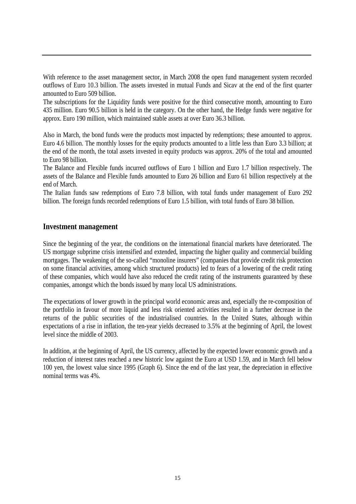With reference to the asset management sector, in March 2008 the open fund management system recorded outflows of Euro 10.3 billion. The assets invested in mutual Funds and Sicav at the end of the first quarter amounted to Euro 509 billion.

The subscriptions for the Liquidity funds were positive for the third consecutive month, amounting to Euro 435 million. Euro 90.5 billion is held in the category. On the other hand, the Hedge funds were negative for approx. Euro 190 million, which maintained stable assets at over Euro 36.3 billion.

Also in March, the bond funds were the products most impacted by redemptions; these amounted to approx. Euro 4.6 billion. The monthly losses for the equity products amounted to a little less than Euro 3.3 billion; at the end of the month, the total assets invested in equity products was approx. 20% of the total and amounted to Euro 98 billion.

The Balance and Flexible funds incurred outflows of Euro 1 billion and Euro 1.7 billion respectively. The assets of the Balance and Flexible funds amounted to Euro 26 billion and Euro 61 billion respectively at the end of March.

The Italian funds saw redemptions of Euro 7.8 billion, with total funds under management of Euro 292 billion. The foreign funds recorded redemptions of Euro 1.5 billion, with total funds of Euro 38 billion.

#### **Investment management**

Since the beginning of the year, the conditions on the international financial markets have deteriorated. The US mortgage subprime crisis intensified and extended, impacting the higher quality and commercial building mortgages. The weakening of the so-called "monoline insurers" (companies that provide credit risk protection on some financial activities, among which structured products) led to fears of a lowering of the credit rating of these companies, which would have also reduced the credit rating of the instruments guaranteed by these companies, amongst which the bonds issued by many local US administrations.

The expectations of lower growth in the principal world economic areas and, especially the re-composition of the portfolio in favour of more liquid and less risk oriented activities resulted in a further decrease in the returns of the public securities of the industrialised countries. In the United States, although within expectations of a rise in inflation, the ten-year yields decreased to 3.5% at the beginning of April, the lowest level since the middle of 2003.

In addition, at the beginning of April, the US currency, affected by the expected lower economic growth and a reduction of interest rates reached a new historic low against the Euro at USD 1.59, and in March fell below 100 yen, the lowest value since 1995 (Graph 6). Since the end of the last year, the depreciation in effective nominal terms was 4%.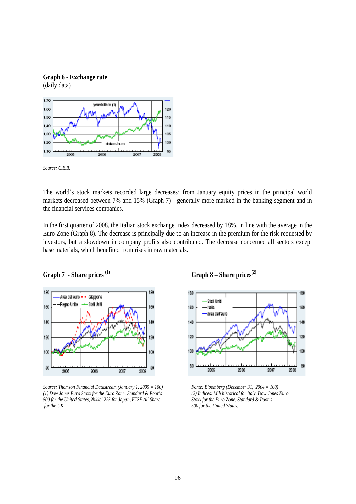

*Source: C.E.B.*

**Graph 6 - Exchange rate** 

The world's stock markets recorded large decreases: from January equity prices in the principal world markets decreased between 7% and 15% (Graph 7) - generally more marked in the banking segment and in the financial services companies.

In the first quarter of 2008, the Italian stock exchange index decreased by 18%, in line with the average in the Euro Zone (Graph 8). The decrease is principally due to an increase in the premium for the risk requested by investors, but a slowdown in company profits also contributed. The decrease concerned all sectors except base materials, which benefited from rises in raw materials.



*Source: Thomson Financial Datastream (January 1, 2005 = 100) Fonte: Bloomberg (December 31, 2004 = 100) (1) Dow Jones Euro Stoxx for the Euro Zone, Standard & Poor's (2) Indices: Mib historical for Italy, Dow Jones Euro 500 for the United States, Nikkei 225 for Japan, FTSE All Share Stoxx for the Euro Zone, Standard & Poor's for the UK. 500 for the United States.* 



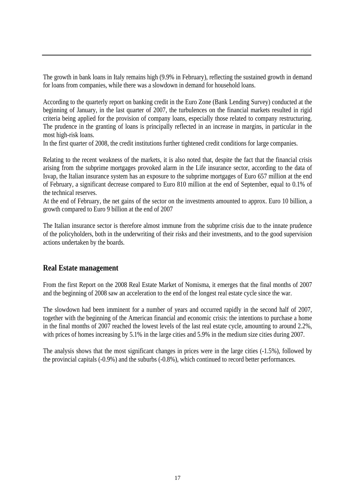The growth in bank loans in Italy remains high (9.9% in February), reflecting the sustained growth in demand for loans from companies, while there was a slowdown in demand for household loans.

According to the quarterly report on banking credit in the Euro Zone (Bank Lending Survey) conducted at the beginning of January, in the last quarter of 2007, the turbulences on the financial markets resulted in rigid criteria being applied for the provision of company loans, especially those related to company restructuring. The prudence in the granting of loans is principally reflected in an increase in margins, in particular in the most high-risk loans.

In the first quarter of 2008, the credit institutions further tightened credit conditions for large companies.

Relating to the recent weakness of the markets, it is also noted that, despite the fact that the financial crisis arising from the subprime mortgages provoked alarm in the Life insurance sector, according to the data of Isvap, the Italian insurance system has an exposure to the subprime mortgages of Euro 657 million at the end of February, a significant decrease compared to Euro 810 million at the end of September, equal to 0.1% of the technical reserves.

At the end of February, the net gains of the sector on the investments amounted to approx. Euro 10 billion, a growth compared to Euro 9 billion at the end of 2007

The Italian insurance sector is therefore almost immune from the subprime crisis due to the innate prudence of the policyholders, both in the underwriting of their risks and their investments, and to the good supervision actions undertaken by the boards.

#### **Real Estate management**

From the first Report on the 2008 Real Estate Market of Nomisma, it emerges that the final months of 2007 and the beginning of 2008 saw an acceleration to the end of the longest real estate cycle since the war.

The slowdown had been imminent for a number of years and occurred rapidly in the second half of 2007, together with the beginning of the American financial and economic crisis: the intentions to purchase a home in the final months of 2007 reached the lowest levels of the last real estate cycle, amounting to around 2.2%, with prices of homes increasing by 5.1% in the large cities and 5.9% in the medium size cities during 2007.

The analysis shows that the most significant changes in prices were in the large cities (-1.5%), followed by the provincial capitals (-0.9%) and the suburbs (-0.8%), which continued to record better performances.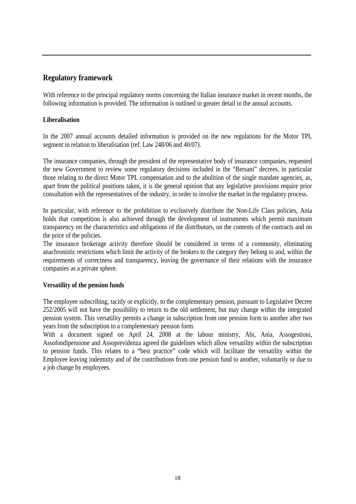### **Regulatory framework**

With reference to the principal regulatory norms concerning the Italian insurance market in recent months, the following information is provided. The information is outlined in greater detail in the annual accounts.

#### **Liberalisation**

In the 2007 annual accounts detailed information is provided on the new regulations for the Motor TPL segment in relation to liberalisation (ref. Law 248/06 and 40/07).

The insurance companies, through the president of the representative body of insurance companies, requested the new Government to review some regulatory decisions included in the "Bersani" decrees, in particular those relating to the direct Motor TPL compensation and to the abolition of the single mandate agencies, as, apart from the political positions taken, it is the general opinion that any legislative provisions require prior consultation with the representatives of the industry, in order to involve the market in the regulatory process.

In particular, with reference to the prohibition to exclusively distribute the Non-Life Class policies, Ania holds that competition is also achieved through the development of instruments which permit maximum transparency on the characteristics and obligations of the distributors, on the contents of the contracts and on the price of the policies.

The insurance brokerage activity therefore should be considered in terms of a community, eliminating anachronistic restrictions which limit the activity of the brokers to the category they belong to and, within the requirements of correctness and transparency, leaving the governance of their relations with the insurance companies as a private sphere.

#### **Versatility of the pension funds**

The employee subscribing, tacitly or explicitly, to the complementary pension, pursuant to Legislative Decree 252/2005 will not have the possibility to return to the old settlement, but may change within the integrated pension system. This versatility permits a change in subscription from one pension form to another after two years from the subscription to a complementary pension form.

With a document signed on April 24, 2008 at the labour ministry, Abi, Ania, Assogestioni, Assofondipensione and Assoprevidenza agreed the guidelines which allow versatility within the subscription to pension funds. This relates to a "best practice" code which will facilitate the versatility within the Employee leaving indemnity and of the contributions from one pension fund to another, voluntarily or due to a job change by employees.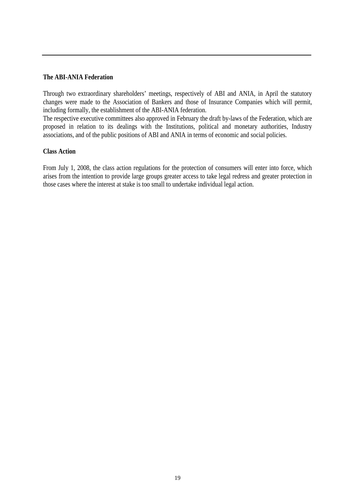#### **The ABI-ANIA Federation**

Through two extraordinary shareholders' meetings, respectively of ABI and ANIA, in April the statutory changes were made to the Association of Bankers and those of Insurance Companies which will permit, including formally, the establishment of the ABI-ANIA federation.

The respective executive committees also approved in February the draft by-laws of the Federation, which are proposed in relation to its dealings with the Institutions, political and monetary authorities, Industry associations, and of the public positions of ABI and ANIA in terms of economic and social policies.

#### **Class Action**

From July 1, 2008, the class action regulations for the protection of consumers will enter into force, which arises from the intention to provide large groups greater access to take legal redress and greater protection in those cases where the interest at stake is too small to undertake individual legal action.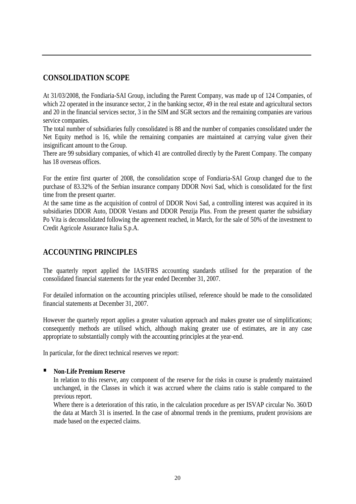## **CONSOLIDATION SCOPE**

At 31/03/2008, the Fondiaria-SAI Group, including the Parent Company, was made up of 124 Companies, of which 22 operated in the insurance sector, 2 in the banking sector, 49 in the real estate and agricultural sectors and 20 in the financial services sector, 3 in the SIM and SGR sectors and the remaining companies are various service companies.

The total number of subsidiaries fully consolidated is 88 and the number of companies consolidated under the Net Equity method is 16, while the remaining companies are maintained at carrying value given their insignificant amount to the Group.

There are 99 subsidiary companies, of which 41 are controlled directly by the Parent Company. The company has 18 overseas offices.

For the entire first quarter of 2008, the consolidation scope of Fondiaria-SAI Group changed due to the purchase of 83.32% of the Serbian insurance company DDOR Novi Sad, which is consolidated for the first time from the present quarter.

At the same time as the acquisition of control of DDOR Novi Sad, a controlling interest was acquired in its subsidiaries DDOR Auto, DDOR Vestans and DDOR Penzija Plus. From the present quarter the subsidiary Po Vita is deconsolidated following the agreement reached, in March, for the sale of 50% of the investment to Credit Agricole Assurance Italia S.p.A.

## **ACCOUNTING PRINCIPLES**

The quarterly report applied the IAS/IFRS accounting standards utilised for the preparation of the consolidated financial statements for the year ended December 31, 2007.

For detailed information on the accounting principles utilised, reference should be made to the consolidated financial statements at December 31, 2007.

However the quarterly report applies a greater valuation approach and makes greater use of simplifications; consequently methods are utilised which, although making greater use of estimates, are in any case appropriate to substantially comply with the accounting principles at the year-end.

In particular, for the direct technical reserves we report:

#### **Non-Life Premium Reserve**

In relation to this reserve, any component of the reserve for the risks in course is prudently maintained unchanged, in the Classes in which it was accrued where the claims ratio is stable compared to the previous report.

Where there is a deterioration of this ratio, in the calculation procedure as per ISVAP circular No. 360/D the data at March 31 is inserted. In the case of abnormal trends in the premiums, prudent provisions are made based on the expected claims.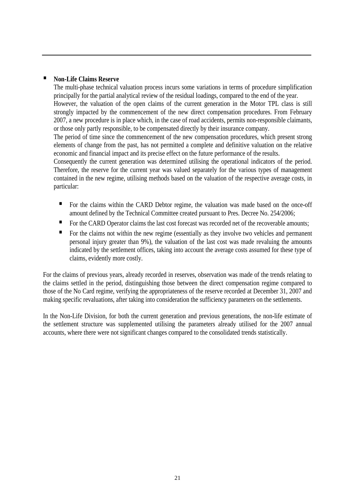#### **Non-Life Claims Reserve**

The multi-phase technical valuation process incurs some variations in terms of procedure simplification principally for the partial analytical review of the residual loadings, compared to the end of the year. However, the valuation of the open claims of the current generation in the Motor TPL class is still strongly impacted by the commencement of the new direct compensation procedures. From February 2007, a new procedure is in place which, in the case of road accidents, permits non-responsible claimants, or those only partly responsible, to be compensated directly by their insurance company.

The period of time since the commencement of the new compensation procedures, which present strong elements of change from the past, has not permitted a complete and definitive valuation on the relative economic and financial impact and its precise effect on the future performance of the results.

Consequently the current generation was determined utilising the operational indicators of the period. Therefore, the reserve for the current year was valued separately for the various types of management contained in the new regime, utilising methods based on the valuation of the respective average costs, in particular:

- For the claims within the CARD Debtor regime, the valuation was made based on the once-off amount defined by the Technical Committee created pursuant to Pres. Decree No. 254/2006;
- For the CARD Operator claims the last cost forecast was recorded net of the recoverable amounts;
- For the claims not within the new regime (essentially as they involve two vehicles and permanent personal injury greater than 9%), the valuation of the last cost was made revaluing the amounts indicated by the settlement offices, taking into account the average costs assumed for these type of claims, evidently more costly.

For the claims of previous years, already recorded in reserves, observation was made of the trends relating to the claims settled in the period, distinguishing those between the direct compensation regime compared to those of the No Card regime, verifying the appropriateness of the reserve recorded at December 31, 2007 and making specific revaluations, after taking into consideration the sufficiency parameters on the settlements.

In the Non-Life Division, for both the current generation and previous generations, the non-life estimate of the settlement structure was supplemented utilising the parameters already utilised for the 2007 annual accounts, where there were not significant changes compared to the consolidated trends statistically.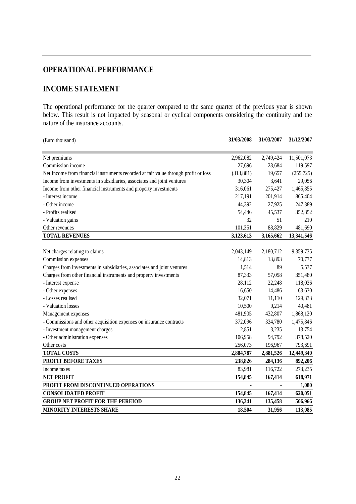## **OPERATIONAL PERFORMANCE**

## **INCOME STATEMENT**

The operational performance for the quarter compared to the same quarter of the previous year is shown below. This result is not impacted by seasonal or cyclical components considering the continuity and the nature of the insurance accounts.

| (Euro thousand)                                                                     | 31/03/2008 | 31/03/2007     | 31/12/2007 |
|-------------------------------------------------------------------------------------|------------|----------------|------------|
|                                                                                     |            |                |            |
| Net premiums                                                                        | 2,962,082  | 2,749,424      | 11,501,073 |
| Commission income                                                                   | 27,696     | 28,684         | 119,597    |
| Net Income from financial instruments recorded at fair value through profit or loss | (313, 881) | 19,657         | (255, 725) |
| Income from investments in subsidiaries, associates and joint ventures              | 30,304     | 3,641          | 29,056     |
| Income from other financial instruments and property investments                    | 316,061    | 275,427        | 1,465,855  |
| - Interest income                                                                   | 217,191    | 201,914        | 865,404    |
| - Other income                                                                      | 44,392     | 27,925         | 247,389    |
| - Profits realised                                                                  | 54,446     | 45,537         | 352,852    |
| - Valuation gains                                                                   | 32         | 51             | 210        |
| Other revenues                                                                      | 101,351    | 88,829         | 481,690    |
| <b>TOTAL REVENUES</b>                                                               | 3,123,613  | 3,165,662      | 13,341,546 |
|                                                                                     |            |                |            |
| Net charges relating to claims                                                      | 2,043,149  | 2,180,712      | 9,359,735  |
| Commission expenses                                                                 | 14,813     | 13,893         | 70,777     |
| Charges from investments in subsidiaries, associates and joint ventures             | 1,514      | 89             | 5,537      |
| Charges from other financial instruments and property investments                   | 87,333     | 57,058         | 351,480    |
| - Interest expense                                                                  | 28,112     | 22,248         | 118,036    |
| - Other expenses                                                                    | 16,650     | 14,486         | 63,630     |
| - Losses realised                                                                   | 32,071     | 11,110         | 129,333    |
| - Valuation losses                                                                  | 10,500     | 9,214          | 40,481     |
| Management expenses                                                                 | 481,905    | 432,807        | 1,868,120  |
| - Commissions and other acquisition expenses on insurance contracts                 | 372,096    | 334,780        | 1,475,846  |
| - Investment management charges                                                     | 2,851      | 3,235          | 13,754     |
| - Other administration expenses                                                     | 106,958    | 94,792         | 378,520    |
| Other costs                                                                         | 256,073    | 196,967        | 793,691    |
| <b>TOTAL COSTS</b>                                                                  | 2,884,787  | 2,881,526      | 12,449,340 |
| PROFIT BEFORE TAXES                                                                 | 238,826    | 284,136        | 892,206    |
| Income taxes                                                                        | 83,981     | 116,722        | 273,235    |
| <b>NET PROFIT</b>                                                                   | 154,845    | 167,414        | 618,971    |
| PROFIT FROM DISCONTINUED OPERATIONS                                                 |            | $\blacksquare$ | 1,080      |
| <b>CONSOLIDATED PROFIT</b>                                                          | 154,845    | 167,414        | 620,051    |
| <b>GROUP NET PROFIT FOR THE PEREIOD</b>                                             | 136,341    | 135,458        | 506,966    |
| <b>MINORITY INTERESTS SHARE</b>                                                     | 18,504     | 31,956         | 113,085    |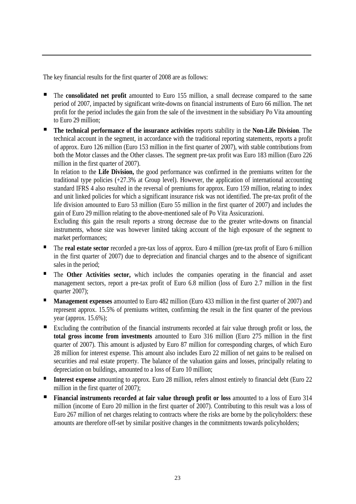The key financial results for the first quarter of 2008 are as follows:

- The **consolidated net profit** amounted to Euro 155 million, a small decrease compared to the same period of 2007, impacted by significant write-downs on financial instruments of Euro 66 million. The net profit for the period includes the gain from the sale of the investment in the subsidiary Po Vita amounting to Euro 29 million;
- **The technical performance of the insurance activities reports stability in the <b>Non-Life Division**. The technical account in the segment, in accordance with the traditional reporting statements, reports a profit of approx. Euro 126 million (Euro 153 million in the first quarter of 2007), with stable contributions from both the Motor classes and the Other classes. The segment pre-tax profit was Euro 183 million (Euro 226 million in the first quarter of 2007).

In relation to the **Life Division,** the good performance was confirmed in the premiums written for the traditional type policies (+27.3% at Group level). However, the application of international accounting standard IFRS 4 also resulted in the reversal of premiums for approx. Euro 159 million, relating to index and unit linked policies for which a significant insurance risk was not identified. The pre-tax profit of the life division amounted to Euro 53 million (Euro 55 million in the first quarter of 2007) and includes the gain of Euro 29 million relating to the above-mentioned sale of Po Vita Assicurazioni.

Excluding this gain the result reports a strong decrease due to the greater write-downs on financial instruments, whose size was however limited taking account of the high exposure of the segment to market performances;

- The **real estate sector** recorded a pre-tax loss of approx. Euro 4 million (pre-tax profit of Euro 6 million in the first quarter of 2007) due to depreciation and financial charges and to the absence of significant sales in the period;
- The **Other Activities sector,** which includes the companies operating in the financial and asset management sectors, report a pre-tax profit of Euro 6.8 million (loss of Euro 2.7 million in the first quarter 2007);
- **Management expenses** amounted to Euro 482 million (Euro 433 million in the first quarter of 2007) and represent approx. 15.5% of premiums written, confirming the result in the first quarter of the previous year (approx.  $15.6\%$ );
- Excluding the contribution of the financial instruments recorded at fair value through profit or loss, the **total gross income from investments** amounted to Euro 316 million (Euro 275 million in the first quarter of 2007). This amount is adjusted by Euro 87 million for corresponding charges, of which Euro 28 million for interest expense. This amount also includes Euro 22 million of net gains to be realised on securities and real estate property. The balance of the valuation gains and losses, principally relating to depreciation on buildings, amounted to a loss of Euro 10 million;
- **Interest expense** amounting to approx. Euro 28 million, refers almost entirely to financial debt (Euro 22 million in the first quarter of 2007);
- **Financial instruments recorded at fair value through profit or loss amounted to a loss of Euro 314** million (income of Euro 20 million in the first quarter of 2007). Contributing to this result was a loss of Euro 267 million of net charges relating to contracts where the risks are borne by the policyholders: these amounts are therefore off-set by similar positive changes in the commitments towards policyholders;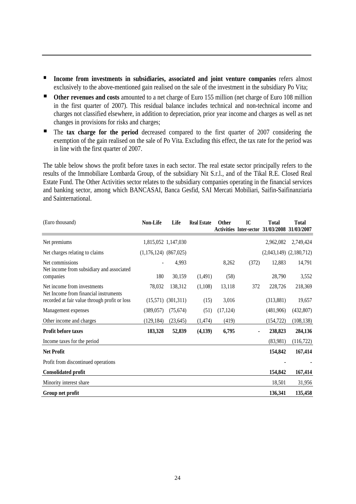- **Income from investments in subsidiaries, associated and joint venture companies** refers almost exclusively to the above-mentioned gain realised on the sale of the investment in the subsidiary Po Vita;
- **Other revenues and costs** amounted to a net charge of Euro 155 million (net charge of Euro 108 million in the first quarter of 2007). This residual balance includes technical and non-technical income and charges not classified elsewhere, in addition to depreciation, prior year income and charges as well as net changes in provisions for risks and charges;
- The **tax charge for the period** decreased compared to the first quarter of 2007 considering the exemption of the gain realised on the sale of Po Vita. Excluding this effect, the tax rate for the period was in line with the first quarter of 2007.

The table below shows the profit before taxes in each sector. The real estate sector principally refers to the results of the Immobiliare Lombarda Group, of the subsidiary Nit S.r.l., and of the Tikal R.E. Closed Real Estate Fund. The Other Activities sector relates to the subsidiary companies operating in the financial services and banking sector, among which BANCASAI, Banca Gesfid, SAI Mercati Mobiliari, Saifin-Saifinanziaria and Sainternational.

| (Euro thousand)                                                      | <b>Non-Life</b>           | Life      | <b>Real Estate</b> | <b>Other</b> | IC<br><b>Activities Inter-sector</b> | <b>Total</b><br>31/03/2008  | <b>Total</b><br>31/03/2007 |
|----------------------------------------------------------------------|---------------------------|-----------|--------------------|--------------|--------------------------------------|-----------------------------|----------------------------|
|                                                                      |                           |           |                    |              |                                      |                             |                            |
| Net premiums                                                         | 1,815,052 1,147,030       |           |                    |              |                                      | 2,962,082                   | 2,749,424                  |
| Net charges relating to claims                                       | $(1,176,124)$ $(867,025)$ |           |                    |              |                                      | $(2,043,149)$ $(2,180,712)$ |                            |
| Net commissions<br>Net income from subsidiary and associated         |                           | 4,993     |                    | 8,262        | (372)                                | 12,883                      | 14,791                     |
| companies                                                            | 180                       | 30,159    | (1,491)            | (58)         |                                      | 28,790                      | 3,552                      |
| Net income from investments<br>Net Income from financial instruments | 78,032                    | 138,312   | (1,108)            | 13,118       | 372                                  | 228,726                     | 218,369                    |
| recorded at fair value through profit or loss                        | (15,571)                  | (301,311) | (15)               | 3,016        |                                      | (313, 881)                  | 19,657                     |
| Management expenses                                                  | (389, 057)                | (75, 674) | (51)               | (17, 124)    |                                      | (481,906)                   | (432, 807)                 |
| Other income and charges                                             | (129, 184)                | (23, 645) | (1, 474)           | (419)        |                                      | (154, 722)                  | (108, 138)                 |
| Profit before taxes                                                  | 183,328                   | 52,839    | (4,139)            | 6,795        |                                      | 238,823                     | 284,136                    |
| Income taxes for the period                                          |                           |           |                    |              |                                      | (83,981)                    | (116, 722)                 |
| <b>Net Profit</b>                                                    |                           |           |                    |              |                                      | 154,842                     | 167,414                    |
| Profit from discontinued operations                                  |                           |           |                    |              |                                      |                             |                            |
| <b>Consolidated profit</b>                                           |                           |           |                    |              |                                      | 154,842                     | 167,414                    |
| Minority interest share                                              |                           |           |                    |              |                                      | 18,501                      | 31,956                     |
| Group net profit                                                     |                           |           |                    |              |                                      | 136,341                     | 135,458                    |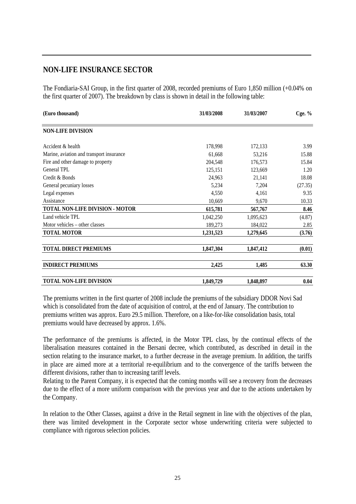## **NON-LIFE INSURANCE SECTOR**

The Fondiaria-SAI Group, in the first quarter of 2008, recorded premiums of Euro 1,850 million (+0.04% on the first quarter of 2007). The breakdown by class is shown in detail in the following table:

| (Euro thousand)                          | 31/03/2008 | 31/03/2007 | Cge. $%$ |
|------------------------------------------|------------|------------|----------|
| <b>NON-LIFE DIVISION</b>                 |            |            |          |
| Accident & health                        | 178,998    | 172,133    | 3.99     |
| Marine, aviation and transport insurance | 61,668     | 53,216     | 15.88    |
| Fire and other damage to property        | 204,548    | 176,573    | 15.84    |
| General TPL                              | 125,151    | 123,669    | 1.20     |
| Credit & Bonds                           | 24,963     | 21,141     | 18.08    |
| General pecuniary losses                 | 5,234      | 7,204      | (27.35)  |
| Legal expenses                           | 4,550      | 4,161      | 9.35     |
| Assistance                               | 10,669     | 9,670      | 10.33    |
| TOTAL NON-LIFE DIVISION - MOTOR          | 615,781    | 567,767    | 8.46     |
| Land vehicle TPL                         | 1,042,250  | 1,095,623  | (4.87)   |
| Motor vehicles – other classes           | 189,273    | 184,022    | 2.85     |
| <b>TOTAL MOTOR</b>                       | 1,231,523  | 1,279,645  | (3.76)   |
| <b>TOTAL DIRECT PREMIUMS</b>             | 1,847,304  | 1,847,412  | (0.01)   |
| <b>INDIRECT PREMIUMS</b>                 | 2,425      | 1,485      | 63.30    |
| <b>TOTAL NON-LIFE DIVISION</b>           | 1,849,729  | 1,848,897  | 0.04     |

The premiums written in the first quarter of 2008 include the premiums of the subsidiary DDOR Novi Sad which is consolidated from the date of acquisition of control, at the end of January. The contribution to premiums written was approx. Euro 29.5 million. Therefore, on a like-for-like consolidation basis, total premiums would have decreased by approx. 1.6%.

The performance of the premiums is affected, in the Motor TPL class, by the continual effects of the liberalisation measures contained in the Bersani decree, which contributed, as described in detail in the section relating to the insurance market, to a further decrease in the average premium. In addition, the tariffs in place are aimed more at a territorial re-equilibrium and to the convergence of the tariffs between the different divisions, rather than to increasing tariff levels.

Relating to the Parent Company, it is expected that the coming months will see a recovery from the decreases due to the effect of a more uniform comparison with the previous year and due to the actions undertaken by the Company.

In relation to the Other Classes, against a drive in the Retail segment in line with the objectives of the plan, there was limited development in the Corporate sector whose underwriting criteria were subjected to compliance with rigorous selection policies.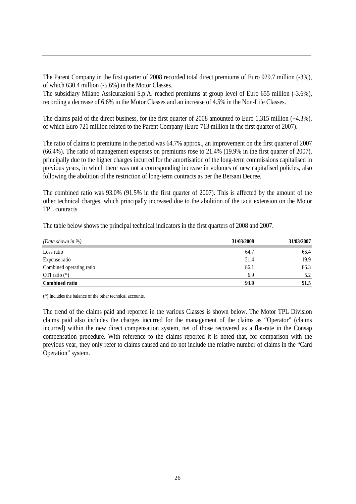The Parent Company in the first quarter of 2008 recorded total direct premiums of Euro 929.7 million (-3%), of which 630.4 million (-5.6%) in the Motor Classes.

The subsidiary Milano Assicurazioni S.p.A. reached premiums at group level of Euro 655 million (-3.6%), recording a decrease of 6.6% in the Motor Classes and an increase of 4.5% in the Non-Life Classes.

The claims paid of the direct business, for the first quarter of 2008 amounted to Euro 1,315 million (+4.3%), of which Euro 721 million related to the Parent Company (Euro 713 million in the first quarter of 2007).

The ratio of claims to premiums in the period was 64.7% approx., an improvement on the first quarter of 2007 (66.4%). The ratio of management expenses on premiums rose to 21.4% (19.9% in the first quarter of 2007), principally due to the higher charges incurred for the amortisation of the long-term commissions capitalised in previous years, in which there was not a corresponding increase in volumes of new capitalised policies, also following the abolition of the restriction of long-term contracts as per the Bersani Decree.

The combined ratio was 93.0% (91.5% in the first quarter of 2007). This is affected by the amount of the other technical charges, which principally increased due to the abolition of the tacit extension on the Motor TPL contracts.

The table below shows the principal technical indicators in the first quarters of 2008 and 2007.

| (Data shown in $\%$ )    | 31/03/2008 | 31/03/2007 |
|--------------------------|------------|------------|
| Loss ratio               | 64.7       | 66.4       |
| Expense ratio            | 21.4       | 19.9       |
| Combined operating ratio | 86.1       | 86.3       |
| OTI ratio $(*)$          | 6.9        | 5.2        |
| <b>Combined ratio</b>    | 93.0       | 91.5       |

(\*) Includes the balance of the other technical accounts.

The trend of the claims paid and reported in the various Classes is shown below. The Motor TPL Division claims paid also includes the charges incurred for the management of the claims as "Operator" (claims incurred) within the new direct compensation system, net of those recovered as a flat-rate in the Consap compensation procedure. With reference to the claims reported it is noted that, for comparison with the previous year, they only refer to claims caused and do not include the relative number of claims in the "Card Operation" system.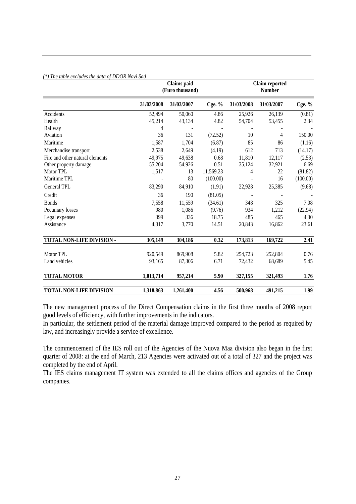|  | (*) The table excludes the data of DDOR Novi Sad |  |  |
|--|--------------------------------------------------|--|--|
|  |                                                  |  |  |

|                                 | <b>Claims</b> paid<br>(Euro thousand) |            |           | <b>Claim reported</b><br><b>Number</b> |                |          |
|---------------------------------|---------------------------------------|------------|-----------|----------------------------------------|----------------|----------|
|                                 | 31/03/2008                            | 31/03/2007 | Cge. $%$  | 31/03/2008                             | 31/03/2007     | Cge. %   |
| Accidents                       | 52,494                                | 50,060     | 4.86      | 25,926                                 | 26,139         | (0.81)   |
| Health                          | 45,214                                | 43,134     | 4.82      | 54,704                                 | 53,455         | 2.34     |
| Railway                         | 4                                     |            |           |                                        |                |          |
| Aviation                        | 36                                    | 131        | (72.52)   | 10                                     | $\overline{4}$ | 150.00   |
| Maritime                        | 1,587                                 | 1,704      | (6.87)    | 85                                     | 86             | (1.16)   |
| Merchandise transport           | 2,538                                 | 2,649      | (4.19)    | 612                                    | 713            | (14.17)  |
| Fire and other natural elements | 49,975                                | 49,638     | 0.68      | 11,810                                 | 12,117         | (2.53)   |
| Other property damage           | 55,204                                | 54,926     | 0.51      | 35,124                                 | 32,921         | 6.69     |
| Motor TPL                       | 1,517                                 | 13         | 11.569.23 | 4                                      | 22             | (81.82)  |
| Maritime TPL                    |                                       | 80         | (100.00)  |                                        | 16             | (100.00) |
| General TPL                     | 83,290                                | 84,910     | (1.91)    | 22,928                                 | 25,385         | (9.68)   |
| Credit                          | 36                                    | 190        | (81.05)   |                                        |                |          |
| <b>Bonds</b>                    | 7,558                                 | 11,559     | (34.61)   | 348                                    | 325            | 7.08     |
| Pecuniary losses                | 980                                   | 1,086      | (9.76)    | 934                                    | 1,212          | (22.94)  |
| Legal expenses                  | 399                                   | 336        | 18.75     | 485                                    | 465            | 4.30     |
| Assistance                      | 4,317                                 | 3,770      | 14.51     | 20,843                                 | 16,862         | 23.61    |
| TOTAL NON-LIFE DIVISION -       | 305,149                               | 304,186    | 0.32      | 173,813                                | 169,722        | 2.41     |
| Motor TPL                       | 920,549                               | 869,908    | 5.82      | 254,723                                | 252,804        | 0.76     |
| Land vehicles                   | 93,165                                | 87,306     | 6.71      | 72,432                                 | 68,689         | 5.45     |
| <b>TOTAL MOTOR</b>              | 1,013,714                             | 957,214    | 5.90      | 327,155                                | 321,493        | 1.76     |
| <b>TOTAL NON-LIFE DIVISION</b>  | 1,318,863                             | 1,261,400  | 4.56      | 500,968                                | 491,215        | 1.99     |

The new management process of the Direct Compensation claims in the first three months of 2008 report good levels of efficiency, with further improvements in the indicators.

In particular, the settlement period of the material damage improved compared to the period as required by law, and increasingly provide a service of excellence.

The commencement of the IES roll out of the Agencies of the Nuova Maa division also began in the first quarter of 2008: at the end of March, 213 Agencies were activated out of a total of 327 and the project was completed by the end of April.

The IES claims management IT system was extended to all the claims offices and agencies of the Group companies.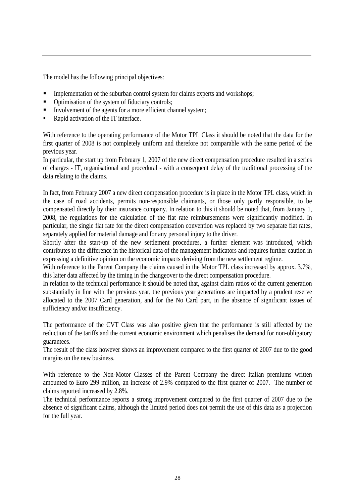The model has the following principal objectives:

- Implementation of the suburban control system for claims experts and workshops;
- Optimisation of the system of fiduciary controls;
- Involvement of the agents for a more efficient channel system;
- Rapid activation of the IT interface.

With reference to the operating performance of the Motor TPL Class it should be noted that the data for the first quarter of 2008 is not completely uniform and therefore not comparable with the same period of the previous year.

In particular, the start up from February 1, 2007 of the new direct compensation procedure resulted in a series of charges - IT, organisational and procedural - with a consequent delay of the traditional processing of the data relating to the claims.

In fact, from February 2007 a new direct compensation procedure is in place in the Motor TPL class, which in the case of road accidents, permits non-responsible claimants, or those only partly responsible, to be compensated directly by their insurance company. In relation to this it should be noted that, from January 1, 2008, the regulations for the calculation of the flat rate reimbursements were significantly modified. In particular, the single flat rate for the direct compensation convention was replaced by two separate flat rates, separately applied for material damage and for any personal injury to the driver.

Shortly after the start-up of the new settlement procedures, a further element was introduced, which contributes to the difference in the historical data of the management indicators and requires further caution in expressing a definitive opinion on the economic impacts deriving from the new settlement regime.

With reference to the Parent Company the claims caused in the Motor TPL class increased by approx. 3.7%, this latter data affected by the timing in the changeover to the direct compensation procedure.

In relation to the technical performance it should be noted that, against claim ratios of the current generation substantially in line with the previous year, the previous year generations are impacted by a prudent reserve allocated to the 2007 Card generation, and for the No Card part, in the absence of significant issues of sufficiency and/or insufficiency.

The performance of the CVT Class was also positive given that the performance is still affected by the reduction of the tariffs and the current economic environment which penalises the demand for non-obligatory guarantees.

The result of the class however shows an improvement compared to the first quarter of 2007 due to the good margins on the new business.

With reference to the Non-Motor Classes of the Parent Company the direct Italian premiums written amounted to Euro 299 million, an increase of 2.9% compared to the first quarter of 2007. The number of claims reported increased by 2.8%.

The technical performance reports a strong improvement compared to the first quarter of 2007 due to the absence of significant claims, although the limited period does not permit the use of this data as a projection for the full year.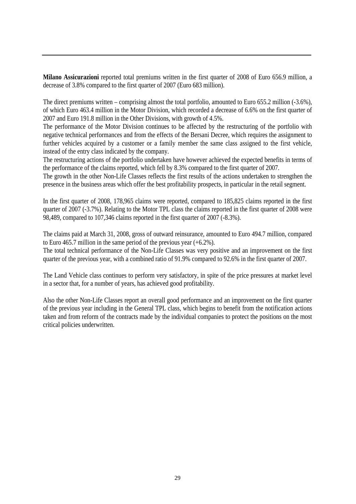**Milano Assicurazioni** reported total premiums written in the first quarter of 2008 of Euro 656.9 million, a decrease of 3.8% compared to the first quarter of 2007 (Euro 683 million).

The direct premiums written – comprising almost the total portfolio, amounted to Euro 655.2 million (-3.6%), of which Euro 463.4 million in the Motor Division, which recorded a decrease of 6.6% on the first quarter of 2007 and Euro 191.8 million in the Other Divisions, with growth of 4.5%.

The performance of the Motor Division continues to be affected by the restructuring of the portfolio with negative technical performances and from the effects of the Bersani Decree, which requires the assignment to further vehicles acquired by a customer or a family member the same class assigned to the first vehicle, instead of the entry class indicated by the company.

The restructuring actions of the portfolio undertaken have however achieved the expected benefits in terms of the performance of the claims reported, which fell by 8.3% compared to the first quarter of 2007.

The growth in the other Non-Life Classes reflects the first results of the actions undertaken to strengthen the presence in the business areas which offer the best profitability prospects, in particular in the retail segment.

In the first quarter of 2008, 178,965 claims were reported, compared to 185,825 claims reported in the first quarter of 2007 (-3.7%). Relating to the Motor TPL class the claims reported in the first quarter of 2008 were 98,489, compared to 107,346 claims reported in the first quarter of 2007 (-8.3%).

The claims paid at March 31, 2008, gross of outward reinsurance, amounted to Euro 494.7 million, compared to Euro 465.7 million in the same period of the previous year (+6.2%).

The total technical performance of the Non-Life Classes was very positive and an improvement on the first quarter of the previous year, with a combined ratio of 91.9% compared to 92.6% in the first quarter of 2007.

The Land Vehicle class continues to perform very satisfactory, in spite of the price pressures at market level in a sector that, for a number of years, has achieved good profitability.

Also the other Non-Life Classes report an overall good performance and an improvement on the first quarter of the previous year including in the General TPL class, which begins to benefit from the notification actions taken and from reform of the contracts made by the individual companies to protect the positions on the most critical policies underwritten.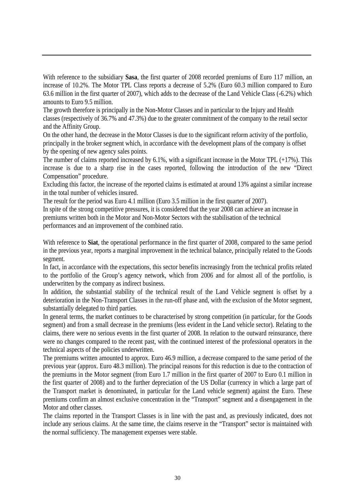With reference to the subsidiary **Sasa**, the first quarter of 2008 recorded premiums of Euro 117 million, an increase of 10.2%. The Motor TPL Class reports a decrease of 5.2% (Euro 60.3 million compared to Euro 63.6 million in the first quarter of 2007), which adds to the decrease of the Land Vehicle Class (-6.2%) which amounts to Euro 9.5 million.

The growth therefore is principally in the Non-Motor Classes and in particular to the Injury and Health classes (respectively of 36.7% and 47.3%) due to the greater commitment of the company to the retail sector and the Affinity Group.

On the other hand, the decrease in the Motor Classes is due to the significant reform activity of the portfolio, principally in the broker segment which, in accordance with the development plans of the company is offset by the opening of new agency sales points.

The number of claims reported increased by 6.1%, with a significant increase in the Motor TPL (+17%). This increase is due to a sharp rise in the cases reported, following the introduction of the new "Direct Compensation" procedure.

Excluding this factor, the increase of the reported claims is estimated at around 13% against a similar increase in the total number of vehicles insured.

The result for the period was Euro 4.1 million (Euro 3.5 million in the first quarter of 2007).

In spite of the strong competitive pressures, it is considered that the year 2008 can achieve an increase in premiums written both in the Motor and Non-Motor Sectors with the stabilisation of the technical performances and an improvement of the combined ratio.

With reference to **Siat**, the operational performance in the first quarter of 2008, compared to the same period in the previous year, reports a marginal improvement in the technical balance, principally related to the Goods segment.

In fact, in accordance with the expectations, this sector benefits increasingly from the technical profits related to the portfolio of the Group's agency network, which from 2006 and for almost all of the portfolio, is underwritten by the company as indirect business.

In addition, the substantial stability of the technical result of the Land Vehicle segment is offset by a deterioration in the Non-Transport Classes in the run-off phase and, with the exclusion of the Motor segment, substantially delegated to third parties.

In general terms, the market continues to be characterised by strong competition (in particular, for the Goods segment) and from a small decrease in the premiums (less evident in the Land vehicle sector). Relating to the claims, there were no serious events in the first quarter of 2008. In relation to the outward reinsurance, there were no changes compared to the recent past, with the continued interest of the professional operators in the technical aspects of the policies underwritten.

The premiums written amounted to approx. Euro 46.9 million, a decrease compared to the same period of the previous year (approx. Euro 48.3 million). The principal reasons for this reduction is due to the contraction of the premiums in the Motor segment (from Euro 1.7 million in the first quarter of 2007 to Euro 0.1 million in the first quarter of 2008) and to the further depreciation of the US Dollar (currency in which a large part of the Transport market is denominated, in particular for the Land vehicle segment) against the Euro. These premiums confirm an almost exclusive concentration in the "Transport" segment and a disengagement in the Motor and other classes.

The claims reported in the Transport Classes is in line with the past and, as previously indicated, does not include any serious claims. At the same time, the claims reserve in the "Transport" sector is maintained with the normal sufficiency. The management expenses were stable.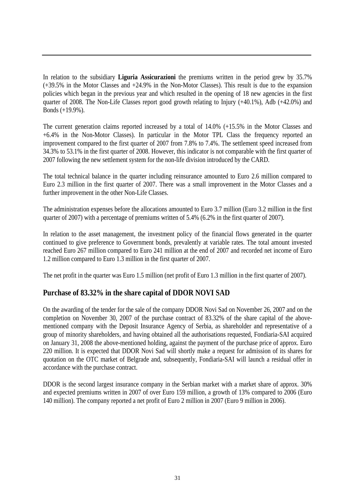In relation to the subsidiary **Liguria Assicurazioni** the premiums written in the period grew by 35.7% (+39.5% in the Motor Classes and +24.9% in the Non-Motor Classes). This result is due to the expansion policies which began in the previous year and which resulted in the opening of 18 new agencies in the first quarter of 2008. The Non-Life Classes report good growth relating to Injury (+40.1%), Adb (+42.0%) and Bonds (+19.9%).

The current generation claims reported increased by a total of 14.0% (+15.5% in the Motor Classes and +6.4% in the Non-Motor Classes). In particular in the Motor TPL Class the frequency reported an improvement compared to the first quarter of 2007 from 7.8% to 7.4%. The settlement speed increased from 34.3% to 53.1% in the first quarter of 2008. However, this indicator is not comparable with the first quarter of 2007 following the new settlement system for the non-life division introduced by the CARD.

The total technical balance in the quarter including reinsurance amounted to Euro 2.6 million compared to Euro 2.3 million in the first quarter of 2007. There was a small improvement in the Motor Classes and a further improvement in the other Non-Life Classes.

The administration expenses before the allocations amounted to Euro 3.7 million (Euro 3.2 million in the first quarter of 2007) with a percentage of premiums written of 5.4% (6.2% in the first quarter of 2007).

In relation to the asset management, the investment policy of the financial flows generated in the quarter continued to give preference to Government bonds, prevalently at variable rates. The total amount invested reached Euro 267 million compared to Euro 241 million at the end of 2007 and recorded net income of Euro 1.2 million compared to Euro 1.3 million in the first quarter of 2007.

The net profit in the quarter was Euro 1.5 million (net profit of Euro 1.3 million in the first quarter of 2007).

### **Purchase of 83.32% in the share capital of DDOR NOVI SAD**

On the awarding of the tender for the sale of the company DDOR Novi Sad on November 26, 2007 and on the completion on November 30, 2007 of the purchase contract of 83.32% of the share capital of the abovementioned company with the Deposit Insurance Agency of Serbia, as shareholder and representative of a group of minority shareholders, and having obtained all the authorisations requested, Fondiaria-SAI acquired on January 31, 2008 the above-mentioned holding, against the payment of the purchase price of approx. Euro 220 million. It is expected that DDOR Novi Sad will shortly make a request for admission of its shares for quotation on the OTC market of Belgrade and, subsequently, Fondiaria-SAI will launch a residual offer in accordance with the purchase contract.

DDOR is the second largest insurance company in the Serbian market with a market share of approx. 30% and expected premiums written in 2007 of over Euro 159 million, a growth of 13% compared to 2006 (Euro 140 million). The company reported a net profit of Euro 2 million in 2007 (Euro 9 million in 2006).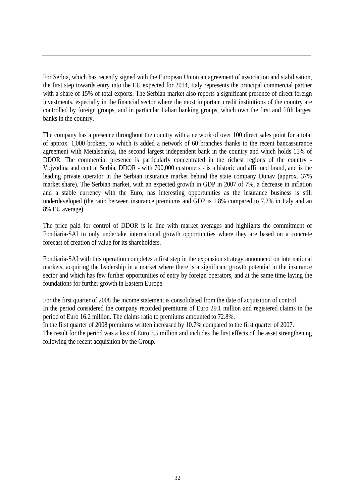For Serbia, which has recently signed with the European Union an agreement of association and stabilisation, the first step towards entry into the EU expected for 2014, Italy represents the principal commercial partner with a share of 15% of total exports. The Serbian market also reports a significant presence of direct foreign investments, especially in the financial sector where the most important credit institutions of the country are controlled by foreign groups, and in particular Italian banking groups, which own the first and fifth largest banks in the country.

The company has a presence throughout the country with a network of over 100 direct sales point for a total of approx. 1,000 brokers, to which is added a network of 60 branches thanks to the recent bancassurance agreement with Metalsbanka, the second largest independent bank in the country and which holds 15% of DDOR. The commercial presence is particularly concentrated in the richest regions of the country - Vojvodina and central Serbia. DDOR - with 700,000 customers - is a historic and affirmed brand, and is the leading private operator in the Serbian insurance market behind the state company Dunav (approx. 37% market share). The Serbian market, with an expected growth in GDP in 2007 of 7%, a decrease in inflation and a stable currency with the Euro, has interesting opportunities as the insurance business is still underdeveloped (the ratio between insurance premiums and GDP is 1.8% compared to 7.2% in Italy and an 8% EU average).

The price paid for control of DDOR is in line with market averages and highlights the commitment of Fondiaria-SAI to only undertake international growth opportunities where they are based on a concrete forecast of creation of value for its shareholders.

Fondiaria-SAI with this operation completes a first step in the expansion strategy announced on international markets, acquiring the leadership in a market where there is a significant growth potential in the insurance sector and which has few further opportunities of entry by foreign operators, and at the same time laying the foundations for further growth in Eastern Europe.

For the first quarter of 2008 the income statement is consolidated from the date of acquisition of control. In the period considered the company recorded premiums of Euro 29.1 million and registered claims in the period of Euro 16.2 million. The claims ratio to premiums amounted to 72.8%.

In the first quarter of 2008 premiums written increased by 10.7% compared to the first quarter of 2007.

The result for the period was a loss of Euro 3.5 million and includes the first effects of the asset strengthening following the recent acquisition by the Group.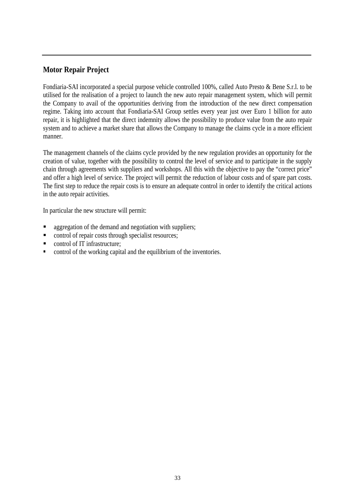## **Motor Repair Project**

Fondiaria-SAI incorporated a special purpose vehicle controlled 100%, called Auto Presto & Bene S.r.l. to be utilised for the realisation of a project to launch the new auto repair management system, which will permit the Company to avail of the opportunities deriving from the introduction of the new direct compensation regime. Taking into account that Fondiaria-SAI Group settles every year just over Euro 1 billion for auto repair, it is highlighted that the direct indemnity allows the possibility to produce value from the auto repair system and to achieve a market share that allows the Company to manage the claims cycle in a more efficient manner.

The management channels of the claims cycle provided by the new regulation provides an opportunity for the creation of value, together with the possibility to control the level of service and to participate in the supply chain through agreements with suppliers and workshops. All this with the objective to pay the "correct price" and offer a high level of service. The project will permit the reduction of labour costs and of spare part costs. The first step to reduce the repair costs is to ensure an adequate control in order to identify the critical actions in the auto repair activities.

In particular the new structure will permit:

- aggregation of the demand and negotiation with suppliers;
- control of repair costs through specialist resources;
- control of IT infrastructure:
- **•** control of the working capital and the equilibrium of the inventories.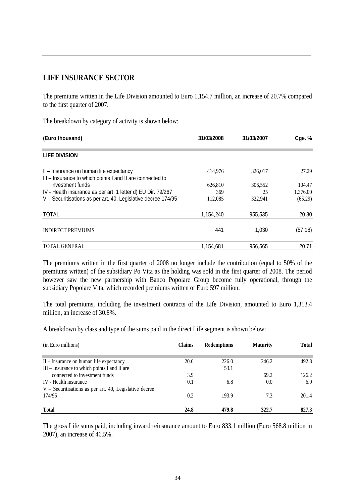#### **LIFE INSURANCE SECTOR**

The premiums written in the Life Division amounted to Euro 1,154.7 million, an increase of 20.7% compared to the first quarter of 2007.

The breakdown by category of activity is shown below:

| (Euro thousand)                                                                                      | 31/03/2008 | 31/03/2007 | Cge. %   |
|------------------------------------------------------------------------------------------------------|------------|------------|----------|
| <b>LIFE DIVISION</b>                                                                                 |            |            |          |
| II - Insurance on human life expectancy<br>III - Insurance to which points I and II are connected to | 414,976    | 326,017    | 27.29    |
| investment funds                                                                                     | 626,810    | 306,552    | 104.47   |
| IV - Health insurance as per art. 1 letter d) EU Dir. 79/267                                         | 369        | 25         | 1.376.00 |
| V - Securitisations as per art. 40, Legislative decree 174/95                                        | 112,085    | 322,941    | (65.29)  |
| <b>TOTAL</b>                                                                                         | 1,154,240  | 955,535    | 20.80    |
| <b>INDIRECT PREMIUMS</b>                                                                             | 441        | 1.030      | (57.18)  |
| <b>TOTAL GENERAL</b>                                                                                 | 1.154.681  | 956.565    | 20.71    |

The premiums written in the first quarter of 2008 no longer include the contribution (equal to 50% of the premiums written) of the subsidiary Po Vita as the holding was sold in the first quarter of 2008. The period however saw the new partnership with Banco Popolare Group become fully operational, through the subsidiary Popolare Vita, which recorded premiums written of Euro 597 million.

The total premiums, including the investment contracts of the Life Division, amounted to Euro 1,313.4 million, an increase of 30.8%.

A breakdown by class and type of the sums paid in the direct Life segment is shown below:

| (in Euro millions)                                       | <b>Claims</b> | <b>Redemptions</b> | <b>Maturity</b> | <b>Total</b> |
|----------------------------------------------------------|---------------|--------------------|-----------------|--------------|
| II – Insurance on human life expectancy                  | 20.6          | 226.0              | 246.2           | 492.8        |
| III – Insurance to which points I and II are             |               | 53.1               |                 |              |
| connected to investment funds                            | 3.9           |                    | 69.2            | 126.2        |
| IV - Health insurance                                    | 0.1           | 6.8                | 0.0             | 6.9          |
| $V$ – Securitisations as per art. 40, Legislative decree |               |                    |                 |              |
| 174/95                                                   | 0.2           | 193.9              | 7.3             | 201.4        |
| <b>Total</b>                                             | 24.8          | 479.8              | 322.7           | 827.3        |

The gross Life sums paid, including inward reinsurance amount to Euro 833.1 million (Euro 568.8 million in 2007), an increase of 46.5%.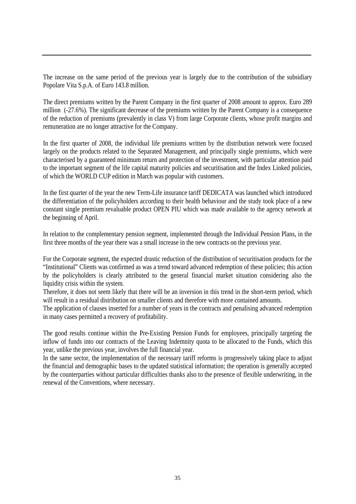The increase on the same period of the previous year is largely due to the contribution of the subsidiary Popolare Vita S.p.A. of Euro 143.8 million.

The direct premiums written by the Parent Company in the first quarter of 2008 amount to approx. Euro 289 million (-27.6%). The significant decrease of the premiums written by the Parent Company is a consequence of the reduction of premiums (prevalently in class V) from large Corporate clients, whose profit margins and remuneration are no longer attractive for the Company.

In the first quarter of 2008, the individual life premiums written by the distribution network were focused largely on the products related to the Separated Management, and principally single premiums, which were characterised by a guaranteed minimum return and protection of the investment, with particular attention paid to the important segment of the life capital maturity policies and securitisation and the Index Linked policies, of which the WORLD CUP edition in March was popular with customers.

In the first quarter of the year the new Term-Life insurance tariff DEDICATA was launched which introduced the differentiation of the policyholders according to their health behaviour and the study took place of a new constant single premium revaluable product OPEN PIU which was made available to the agency network at the beginning of April.

In relation to the complementary pension segment, implemented through the Individual Pension Plans, in the first three months of the year there was a small increase in the new contracts on the previous year.

For the Corporate segment, the expected drastic reduction of the distribution of securitisation products for the "Institutional" Clients was confirmed as was a trend toward advanced redemption of these policies; this action by the policyholders is clearly attributed to the general financial market situation considering also the liquidity crisis within the system.

Therefore, it does not seem likely that there will be an inversion in this trend in the short-term period, which will result in a residual distribution on smaller clients and therefore with more contained amounts.

The application of clauses inserted for a number of years in the contracts and penalising advanced redemption in many cases permitted a recovery of profitability.

The good results continue within the Pre-Existing Pension Funds for employees, principally targeting the inflow of funds into our contracts of the Leaving Indemnity quota to be allocated to the Funds, which this year, unlike the previous year, involves the full financial year.

In the same sector, the implementation of the necessary tariff reforms is progressively taking place to adjust the financial and demographic bases to the updated statistical information; the operation is generally accepted by the counterparties without particular difficulties thanks also to the presence of flexible underwriting, in the renewal of the Conventions, where necessary.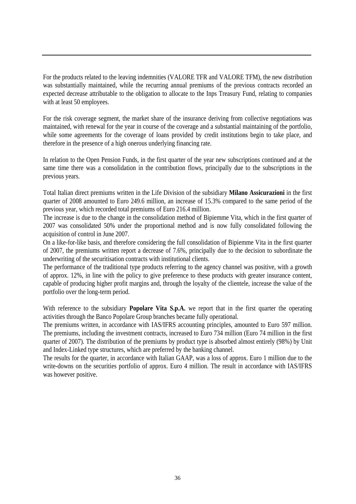For the products related to the leaving indemnities (VALORE TFR and VALORE TFM), the new distribution was substantially maintained, while the recurring annual premiums of the previous contracts recorded an expected decrease attributable to the obligation to allocate to the Inps Treasury Fund, relating to companies with at least 50 employees.

For the risk coverage segment, the market share of the insurance deriving from collective negotiations was maintained, with renewal for the year in course of the coverage and a substantial maintaining of the portfolio, while some agreements for the coverage of loans provided by credit institutions begin to take place, and therefore in the presence of a high onerous underlying financing rate.

In relation to the Open Pension Funds, in the first quarter of the year new subscriptions continued and at the same time there was a consolidation in the contribution flows, principally due to the subscriptions in the previous years.

Total Italian direct premiums written in the Life Division of the subsidiary **Milano Assicurazioni** in the first quarter of 2008 amounted to Euro 249.6 million, an increase of 15.3% compared to the same period of the previous year, which recorded total premiums of Euro 216.4 million.

The increase is due to the change in the consolidation method of Bipiemme Vita, which in the first quarter of 2007 was consolidated 50% under the proportional method and is now fully consolidated following the acquisition of control in June 2007.

On a like-for-like basis, and therefore considering the full consolidation of Bipiemme Vita in the first quarter of 2007, the premiums written report a decrease of 7.6%, principally due to the decision to subordinate the underwriting of the securitisation contracts with institutional clients.

The performance of the traditional type products referring to the agency channel was positive, with a growth of approx. 12%, in line with the policy to give preference to these products with greater insurance content, capable of producing higher profit margins and, through the loyalty of the clientele, increase the value of the portfolio over the long-term period.

With reference to the subsidiary **Popolare Vita S.p.A.** we report that in the first quarter the operating activities through the Banco Popolare Group branches became fully operational.

The premiums written, in accordance with IAS/IFRS accounting principles, amounted to Euro 597 million. The premiums, including the investment contracts, increased to Euro 734 million (Euro 74 million in the first quarter of 2007). The distribution of the premiums by product type is absorbed almost entirely (98%) by Unit and Index-Linked type structures, which are preferred by the banking channel.

The results for the quarter, in accordance with Italian GAAP, was a loss of approx. Euro 1 million due to the write-downs on the securities portfolio of approx. Euro 4 million. The result in accordance with IAS/IFRS was however positive.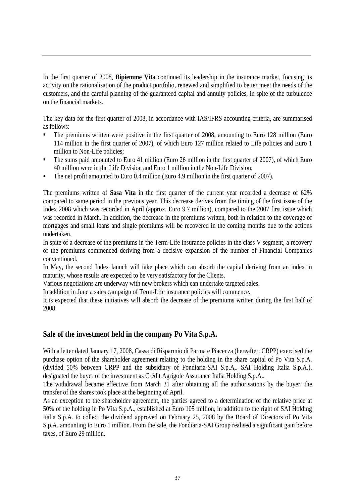In the first quarter of 2008, **Bipiemme Vita** continued its leadership in the insurance market, focusing its activity on the rationalisation of the product portfolio, renewed and simplified to better meet the needs of the customers, and the careful planning of the guaranteed capital and annuity policies, in spite of the turbulence on the financial markets.

The key data for the first quarter of 2008, in accordance with IAS/IFRS accounting criteria, are summarised as follows:

- The premiums written were positive in the first quarter of 2008, amounting to Euro 128 million (Euro 114 million in the first quarter of 2007), of which Euro 127 million related to Life policies and Euro 1 million to Non-Life policies;
- The sums paid amounted to Euro 41 million (Euro 26 million in the first quarter of 2007), of which Euro 40 million were in the Life Division and Euro 1 million in the Non-Life Division;
- The net profit amounted to Euro 0.4 million (Euro 4.9 million in the first quarter of 2007).

The premiums written of **Sasa Vita** in the first quarter of the current year recorded a decrease of 62% compared to same period in the previous year. This decrease derives from the timing of the first issue of the Index 2008 which was recorded in April (approx. Euro 9.7 million), compared to the 2007 first issue which was recorded in March. In addition, the decrease in the premiums written, both in relation to the coverage of mortgages and small loans and single premiums will be recovered in the coming months due to the actions undertaken.

In spite of a decrease of the premiums in the Term-Life insurance policies in the class V segment, a recovery of the premiums commenced deriving from a decisive expansion of the number of Financial Companies conventioned.

In May, the second Index launch will take place which can absorb the capital deriving from an index in maturity, whose results are expected to be very satisfactory for the Clients.

Various negotiations are underway with new brokers which can undertake targeted sales.

In addition in June a sales campaign of Term-Life insurance policies will commence.

It is expected that these initiatives will absorb the decrease of the premiums written during the first half of 2008.

### **Sale of the investment held in the company Po Vita S.p.A.**

With a letter dated January 17, 2008, Cassa di Risparmio di Parma e Piacenza (hereafter: CRPP) exercised the purchase option of the shareholder agreement relating to the holding in the share capital of Po Vita S.p.A. (divided 50% between CRPP and the subsidiary of Fondiaria-SAI S.p.A,. SAI Holding Italia S.p.A.), designated the buyer of the investment as Crédit Agrigole Assurance Italia Holding S.p.A..

The withdrawal became effective from March 31 after obtaining all the authorisations by the buyer: the transfer of the shares took place at the beginning of April.

As an exception to the shareholder agreement, the parties agreed to a determination of the relative price at 50% of the holding in Po Vita S.p.A., established at Euro 105 million, in addition to the right of SAI Holding Italia S.p.A. to collect the dividend approved on February 25, 2008 by the Board of Directors of Po Vita S.p.A. amounting to Euro 1 million. From the sale, the Fondiaria-SAI Group realised a significant gain before taxes, of Euro 29 million.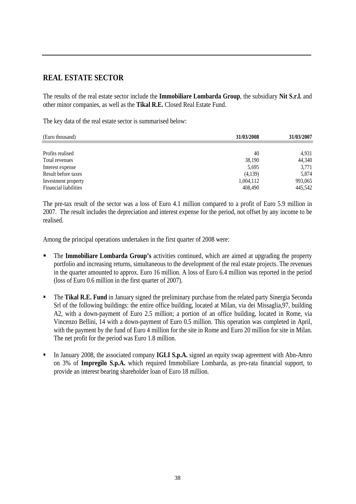## **REAL ESTATE SECTOR**

The results of the real estate sector include the **Immobiliare Lombarda Group**, the subsidiary **Nit S.r.l.** and other minor companies, as well as the **Tikal R.E.** Closed Real Estate Fund.

The key data of the real estate sector is summarised below:

| (Euro thousand)              | 31/03/2008 | 31/03/2007 |
|------------------------------|------------|------------|
|                              |            |            |
| Profits realised             | 40         | 4,931      |
| Total revenues               | 38,190     | 44,340     |
| Interest expense             | 5,695      | 3,771      |
| Result before taxes          | (4,139)    | 5,874      |
| Investment property          | 1,004,112  | 993,065    |
| <b>Financial liabilities</b> | 408,490    | 445,542    |

The pre-tax result of the sector was a loss of Euro 4.1 million compared to a profit of Euro 5.9 million in 2007. The result includes the depreciation and interest expense for the period, not offset by any income to be realised.

Among the principal operations undertaken in the first quarter of 2008 were:

- The **Immobiliare Lombarda Group's** activities continued, which are aimed at upgrading the property portfolio and increasing returns, simultaneous to the development of the real estate projects. The revenues in the quarter amounted to approx. Euro 16 million. A loss of Euro 6.4 million was reported in the period (loss of Euro 0.6 million in the first quarter of 2007).
- **The Tikal R.E. Fund** in January signed the preliminary purchase from the related party Sinergia Seconda Srl of the following buildings: the entire office building, located at Milan, via dei Missaglia,97, building A2, with a down-payment of Euro 2.5 million; a portion of an office building, located in Rome, via Vincenzo Bellini, 14 with a down-payment of Euro 0.5 million. This operation was completed in April, with the payment by the fund of Euro 4 million for the site in Rome and Euro 20 million for site in Milan. The net profit for the period was Euro 1.8 million.
- In January 2008, the associated company **IGLI S.p.A.** signed an equity swap agreement with Abn-Amro on 3% of **Impregilo S.p.A.** which required Immobiliare Lombarda, as pro-rata financial support, to provide an interest bearing shareholder loan of Euro 18 million.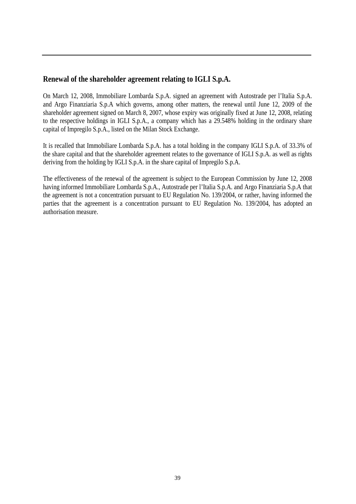### **Renewal of the shareholder agreement relating to IGLI S.p.A.**

On March 12, 2008, Immobiliare Lombarda S.p.A. signed an agreement with Autostrade per l'Italia S.p.A. and Argo Finanziaria S.p.A which governs, among other matters, the renewal until June 12, 2009 of the shareholder agreement signed on March 8, 2007, whose expiry was originally fixed at June 12, 2008, relating to the respective holdings in IGLI S.p.A., a company which has a 29.548% holding in the ordinary share capital of Impregilo S.p.A., listed on the Milan Stock Exchange.

It is recalled that Immobiliare Lombarda S.p.A. has a total holding in the company IGLI S.p.A. of 33.3% of the share capital and that the shareholder agreement relates to the governance of IGLI S.p.A. as well as rights deriving from the holding by IGLI S.p.A. in the share capital of Impregilo S.p.A.

The effectiveness of the renewal of the agreement is subject to the European Commission by June 12, 2008 having informed Immobiliare Lombarda S.p.A., Autostrade per l'Italia S.p.A. and Argo Finanziaria S.p.A that the agreement is not a concentration pursuant to EU Regulation No. 139/2004, or rather, having informed the parties that the agreement is a concentration pursuant to EU Regulation No. 139/2004, has adopted an authorisation measure.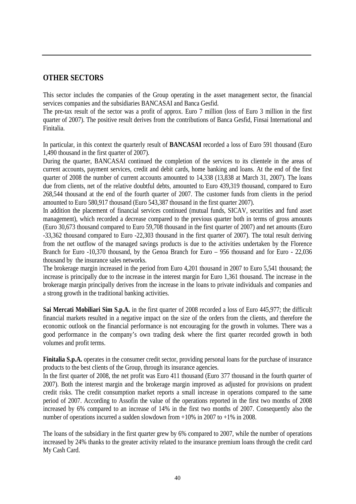#### **OTHER SECTORS**

This sector includes the companies of the Group operating in the asset management sector, the financial services companies and the subsidiaries BANCASAI and Banca Gesfid.

The pre-tax result of the sector was a profit of approx. Euro 7 million (loss of Euro 3 million in the first quarter of 2007). The positive result derives from the contributions of Banca Gesfid, Finsai International and Finitalia.

In particular, in this context the quarterly result of **BANCASAI** recorded a loss of Euro 591 thousand (Euro 1,490 thousand in the first quarter of 2007).

During the quarter, BANCASAI continued the completion of the services to its clientele in the areas of current accounts, payment services, credit and debit cards, home banking and loans. At the end of the first quarter of 2008 the number of current accounts amounted to 14,338 (13,838 at March 31, 2007). The loans due from clients, net of the relative doubtful debts, amounted to Euro 439,319 thousand, compared to Euro 268,544 thousand at the end of the fourth quarter of 2007. The customer funds from clients in the period amounted to Euro 580,917 thousand (Euro 543,387 thousand in the first quarter 2007).

In addition the placement of financial services continued (mutual funds, SICAV, securities and fund asset management), which recorded a decrease compared to the previous quarter both in terms of gross amounts (Euro 30,673 thousand compared to Euro 59,708 thousand in the first quarter of 2007) and net amounts (Euro -33,362 thousand compared to Euro -22,303 thousand in the first quarter of 2007). The total result deriving from the net outflow of the managed savings products is due to the activities undertaken by the Florence Branch for Euro -10,370 thousand, by the Genoa Branch for Euro – 956 thousand and for Euro - 22,036 thousand by the insurance sales networks.

The brokerage margin increased in the period from Euro 4,201 thousand in 2007 to Euro 5,541 thousand; the increase is principally due to the increase in the interest margin for Euro 1,361 thousand. The increase in the brokerage margin principally derives from the increase in the loans to private individuals and companies and a strong growth in the traditional banking activities.

**Sai Mercati Mobiliari Sim S.p.A.** in the first quarter of 2008 recorded a loss of Euro 445,977; the difficult financial markets resulted in a negative impact on the size of the orders from the clients, and therefore the economic outlook on the financial performance is not encouraging for the growth in volumes. There was a good performance in the company's own trading desk where the first quarter recorded growth in both volumes and profit terms.

**Finitalia S.p.A.** operates in the consumer credit sector, providing personal loans for the purchase of insurance products to the best clients of the Group, through its insurance agencies.

In the first quarter of 2008, the net profit was Euro 411 thousand (Euro 377 thousand in the fourth quarter of 2007). Both the interest margin and the brokerage margin improved as adjusted for provisions on prudent credit risks. The credit consumption market reports a small increase in operations compared to the same period of 2007. According to Assofin the value of the operations reported in the first two months of 2008 increased by 6% compared to an increase of 14% in the first two months of 2007. Consequently also the number of operations incurred a sudden slowdown from +10% in 2007 to +1% in 2008.

The loans of the subsidiary in the first quarter grew by 6% compared to 2007, while the number of operations increased by 24% thanks to the greater activity related to the insurance premium loans through the credit card My Cash Card.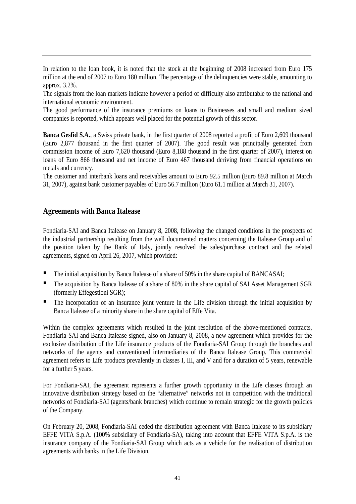In relation to the loan book, it is noted that the stock at the beginning of 2008 increased from Euro 175 million at the end of 2007 to Euro 180 million. The percentage of the delinquencies were stable, amounting to approx. 3.2%.

The signals from the loan markets indicate however a period of difficulty also attributable to the national and international economic environment.

The good performance of the insurance premiums on loans to Businesses and small and medium sized companies is reported, which appears well placed for the potential growth of this sector.

**Banca Gesfid S.A.**, a Swiss private bank, in the first quarter of 2008 reported a profit of Euro 2,609 thousand (Euro 2,877 thousand in the first quarter of 2007). The good result was principally generated from commission income of Euro 7,620 thousand (Euro 8,188 thousand in the first quarter of 2007), interest on loans of Euro 866 thousand and net income of Euro 467 thousand deriving from financial operations on metals and currency.

The customer and interbank loans and receivables amount to Euro 92.5 million (Euro 89.8 million at March 31, 2007), against bank customer payables of Euro 56.7 million (Euro 61.1 million at March 31, 2007).

#### **Agreements with Banca Italease**

Fondiaria-SAI and Banca Italease on January 8, 2008, following the changed conditions in the prospects of the industrial partnership resulting from the well documented matters concerning the Italease Group and of the position taken by the Bank of Italy, jointly resolved the sales/purchase contract and the related agreements, signed on April 26, 2007, which provided:

- The initial acquisition by Banca Italease of a share of 50% in the share capital of BANCASAI;
- The acquisition by Banca Italease of a share of 80% in the share capital of SAI Asset Management SGR (formerly Effegestioni SGR);
- The incorporation of an insurance joint venture in the Life division through the initial acquisition by Banca Italease of a minority share in the share capital of Effe Vita.

Within the complex agreements which resulted in the joint resolution of the above-mentioned contracts, Fondiaria-SAI and Banca Italease signed, also on January 8, 2008, a new agreement which provides for the exclusive distribution of the Life insurance products of the Fondiaria-SAI Group through the branches and networks of the agents and conventioned intermediaries of the Banca Italease Group. This commercial agreement refers to Life products prevalently in classes I, III, and V and for a duration of 5 years, renewable for a further 5 years.

For Fondiaria-SAI, the agreement represents a further growth opportunity in the Life classes through an innovative distribution strategy based on the "alternative" networks not in competition with the traditional networks of Fondiaria-SAI (agents/bank branches) which continue to remain strategic for the growth policies of the Company.

On February 20, 2008, Fondiaria-SAI ceded the distribution agreement with Banca Italease to its subsidiary EFFE VITA S.p.A. (100% subsidiary of Fondiaria-SA), taking into account that EFFE VITA S.p.A. is the insurance company of the Fondiaria-SAI Group which acts as a vehicle for the realisation of distribution agreements with banks in the Life Division.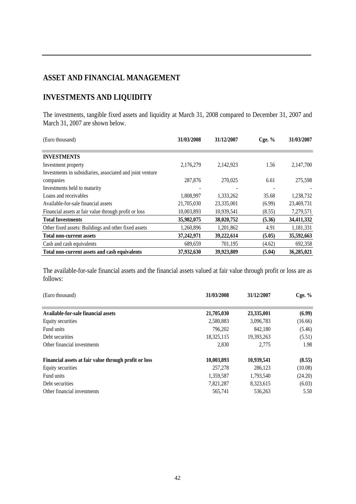## **ASSET AND FINANCIAL MANAGEMENT**

## **INVESTMENTS AND LIQUIDITY**

The investments, tangible fixed assets and liquidity at March 31, 2008 compared to December 31, 2007 and March 31, 2007 are shown below.

| (Euro thousand)                                           | 31/03/2008 | 31/12/2007 | $C$ ge. $%$ | 31/03/2007 |  |
|-----------------------------------------------------------|------------|------------|-------------|------------|--|
|                                                           |            |            |             |            |  |
| <b>INVESTMENTS</b>                                        |            |            |             |            |  |
| Investment property                                       | 2,176,279  | 2,142,923  | 1.56        | 2,147,700  |  |
| Investments in subsidiaries, associated and joint venture |            |            |             |            |  |
| companies                                                 | 287,876    | 270,025    | 6.61        | 275,598    |  |
| Investments held to maturity                              |            |            |             |            |  |
| Loans and receivables                                     | 1,808,997  | 1,333,262  | 35.68       | 1,238,732  |  |
| Available-for-sale financial assets                       | 21,705,030 | 23,335,001 | (6.99)      | 23,469,731 |  |
| Financial assets at fair value through profit or loss     | 10,003,893 | 10,939,541 | (8.55)      | 7,279,571  |  |
| <b>Total Investments</b>                                  | 35,982,075 | 38,020,752 | (5.36)      | 34,411,332 |  |
| Other fixed assets: Buildings and other fixed assets      | 1,260,896  | 1,201,862  | 4.91        | 1,181,331  |  |
| <b>Total non-current assets</b>                           | 37,242,971 | 39,222,614 | (5.05)      | 35,592,663 |  |
| Cash and cash equivalents                                 | 689,659    | 701,195    | (4.62)      | 692,358    |  |
| Total non-current assets and cash equivalents             | 37,932,630 | 39,923,809 | (5.04)      | 36,285,021 |  |

The available-for-sale financial assets and the financial assets valued at fair value through profit or loss are as follows:

| (Euro thousand)                                       | 31/03/2008 | 31/12/2007 | Cge. $%$ |
|-------------------------------------------------------|------------|------------|----------|
|                                                       |            |            |          |
| Available-for-sale financial assets                   | 21,705,030 | 23,335,001 | (6.99)   |
| Equity securities                                     | 2,580,883  | 3,096,783  | (16.66)  |
| Fund units                                            | 796.202    | 842.180    | (5.46)   |
| Debt securities                                       | 18,325,115 | 19,393,263 | (5.51)   |
| Other financial investments                           | 2,830      | 2.775      | 1.98     |
| Financial assets at fair value through profit or loss | 10,003,893 | 10,939,541 | (8.55)   |
| Equity securities                                     | 257,278    | 286.123    | (10.08)  |
| Fund units                                            | 1,359,587  | 1,793,540  | (24.20)  |
| Debt securities                                       | 7,821,287  | 8,323,615  | (6.03)   |
| Other financial investments                           | 565,741    | 536,263    | 5.50     |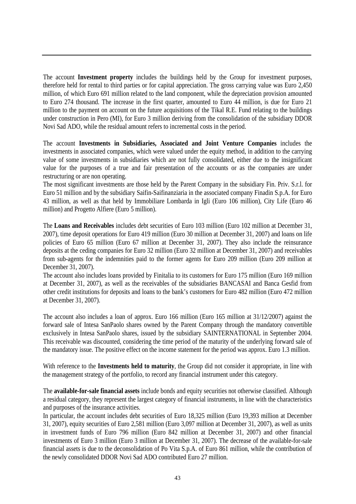The account **Investment property** includes the buildings held by the Group for investment purposes, therefore held for rental to third parties or for capital appreciation. The gross carrying value was Euro 2,450 million, of which Euro 691 million related to the land component, while the depreciation provision amounted to Euro 274 thousand. The increase in the first quarter, amounted to Euro 44 million, is due for Euro 21 million to the payment on account on the future acquisitions of the Tikal R.E. Fund relating to the buildings under construction in Pero (MI), for Euro 3 million deriving from the consolidation of the subsidiary DDOR Novi Sad ADO, while the residual amount refers to incremental costs in the period.

The account **Investments in Subsidiaries, Associated and Joint Venture Companies** includes the investments in associated companies, which were valued under the equity method, in addition to the carrying value of some investments in subsidiaries which are not fully consolidated, either due to the insignificant value for the purposes of a true and fair presentation of the accounts or as the companies are under restructuring or are non operating.

The most significant investments are those held by the Parent Company in the subsidiary Fin. Priv. S.r.l. for Euro 51 million and by the subsidiary Saifin-Saifinanziaria in the associated company Finadin S.p.A. for Euro 43 million, as well as that held by Immobiliare Lombarda in Igli (Euro 106 million), City Life (Euro 46 million) and Progetto Alfiere (Euro 5 million).

The **Loans and Receivables** includes debt securities of Euro 103 million (Euro 102 million at December 31, 2007), time deposit operations for Euro 419 million (Euro 30 million at December 31, 2007) and loans on life policies of Euro 65 million (Euro 67 million at December 31, 2007). They also include the reinsurance deposits at the ceding companies for Euro 32 million (Euro 32 million at December 31, 2007) and receivables from sub-agents for the indemnities paid to the former agents for Euro 209 million (Euro 209 million at December 31, 2007).

The account also includes loans provided by Finitalia to its customers for Euro 175 million (Euro 169 million at December 31, 2007), as well as the receivables of the subsidiaries BANCASAI and Banca Gesfid from other credit institutions for deposits and loans to the bank's customers for Euro 482 million (Euro 472 million at December 31, 2007).

The account also includes a loan of approx. Euro 166 million (Euro 165 million at 31/12/2007) against the forward sale of Intesa SanPaolo shares owned by the Parent Company through the mandatory convertible exclusively in Intesa SanPaolo shares, issued by the subsidiary SAINTERNATIONAL in September 2004. This receivable was discounted, considering the time period of the maturity of the underlying forward sale of the mandatory issue. The positive effect on the income statement for the period was approx. Euro 1.3 million.

With reference to the **Investments held to maturity**, the Group did not consider it appropriate, in line with the management strategy of the portfolio, to record any financial instrument under this category.

The **available-for-sale financial assets** include bonds and equity securities not otherwise classified. Although a residual category, they represent the largest category of financial instruments, in line with the characteristics and purposes of the insurance activities.

In particular, the account includes debt securities of Euro 18,325 million (Euro 19,393 million at December 31, 2007), equity securities of Euro 2,581 million (Euro 3,097 million at December 31, 2007), as well as units in investment funds of Euro 796 million (Euro 842 million at December 31, 2007) and other financial investments of Euro 3 million (Euro 3 million at December 31, 2007). The decrease of the available-for-sale financial assets is due to the deconsolidation of Po Vita S.p.A. of Euro 861 million, while the contribution of the newly consolidated DDOR Novi Sad ADO contributed Euro 27 million.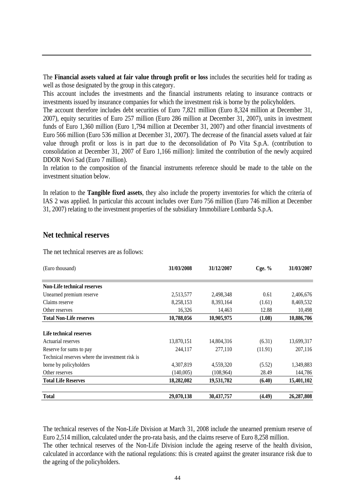The **Financial assets valued at fair value through profit or loss** includes the securities held for trading as well as those designated by the group in this category.

This account includes the investments and the financial instruments relating to insurance contracts or investments issued by insurance companies for which the investment risk is borne by the policyholders.

The account therefore includes debt securities of Euro 7,821 million (Euro 8,324 million at December 31, 2007), equity securities of Euro 257 million (Euro 286 million at December 31, 2007), units in investment funds of Euro 1,360 million (Euro 1,794 million at December 31, 2007) and other financial investments of Euro 566 million (Euro 536 million at December 31, 2007). The decrease of the financial assets valued at fair value through profit or loss is in part due to the deconsolidation of Po Vita S.p.A. (contribution to consolidation at December 31, 2007 of Euro 1,166 million): limited the contribution of the newly acquired DDOR Novi Sad (Euro 7 million).

In relation to the composition of the financial instruments reference should be made to the table on the investment situation below.

In relation to the **Tangible fixed assets**, they also include the property inventories for which the criteria of IAS 2 was applied. In particular this account includes over Euro 756 million (Euro 746 million at December 31, 2007) relating to the investment properties of the subsidiary Immobiliare Lombarda S.p.A.

#### **Net technical reserves**

The net technical reserves are as follows:

| (Euro thousand)                                 | 31/03/2008 | 31/12/2007 | Cge. $%$ | 31/03/2007 |  |
|-------------------------------------------------|------------|------------|----------|------------|--|
| <b>Non-Life technical reserves</b>              |            |            |          |            |  |
|                                                 |            |            |          |            |  |
| Unearned premium reserve                        | 2,513,577  | 2,498,348  | 0.61     | 2,406,676  |  |
| Claims reserve                                  | 8,258,153  | 8,393,164  | (1.61)   | 8,469,532  |  |
| Other reserves                                  | 16,326     | 14,463     | 12.88    | 10,498     |  |
| <b>Total Non-Life reserves</b>                  | 10,788,056 | 10,905,975 | (1.08)   | 10,886,706 |  |
|                                                 |            |            |          |            |  |
| Life technical reserves                         |            |            |          |            |  |
| Actuarial reserves                              | 13,870,151 | 14,804,316 | (6.31)   | 13,699,317 |  |
| Reserve for sums to pay                         | 244.117    | 277,110    | (11.91)  | 207,116    |  |
| Technical reserves where the investment risk is |            |            |          |            |  |
| borne by policyholders                          | 4,307,819  | 4,559,320  | (5.52)   | 1,349,883  |  |
| Other reserves                                  | (140,005)  | (108,964)  | 28.49    | 144,786    |  |
| <b>Total Life Reserves</b>                      | 18,282,082 | 19,531,782 | (6.40)   | 15,401,102 |  |
| <b>Total</b>                                    | 29,070,138 | 30,437,757 | (4.49)   | 26,287,808 |  |

The technical reserves of the Non-Life Division at March 31, 2008 include the unearned premium reserve of Euro 2,514 million, calculated under the pro-rata basis, and the claims reserve of Euro 8,258 million.

The other technical reserves of the Non-Life Division include the ageing reserve of the health division, calculated in accordance with the national regulations: this is created against the greater insurance risk due to the ageing of the policyholders.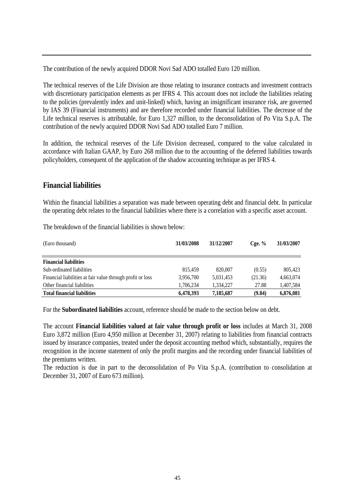The contribution of the newly acquired DDOR Novi Sad ADO totalled Euro 120 million.

The technical reserves of the Life Division are those relating to insurance contracts and investment contracts with discretionary participation elements as per IFRS 4. This account does not include the liabilities relating to the policies (prevalently index and unit-linked) which, having an insignificant insurance risk, are governed by IAS 39 (Financial instruments) and are therefore recorded under financial liabilities. The decrease of the Life technical reserves is attributable, for Euro 1,327 million, to the deconsolidation of Po Vita S.p.A. The contribution of the newly acquired DDOR Novi Sad ADO totalled Euro 7 million.

In addition, the technical reserves of the Life Division decreased, compared to the value calculated in accordance with Italian GAAP, by Euro 268 million due to the accounting of the deferred liabilities towards policyholders, consequent of the application of the shadow accounting technique as per IFRS 4.

### **Financial liabilities**

Within the financial liabilities a separation was made between operating debt and financial debt. In particular the operating debt relates to the financial liabilities where there is a correlation with a specific asset account.

The breakdown of the financial liabilities is shown below:

| (Euro thousand)                                            | 31/03/2008 | 31/12/2007 | $C$ ge. $%$ | 31/03/2007 |
|------------------------------------------------------------|------------|------------|-------------|------------|
|                                                            |            |            |             |            |
| <b>Financial liabilities</b>                               |            |            |             |            |
| Sub-ordinated liabilities                                  | 815.459    | 820,007    | (0.55)      | 805,423    |
| Financial liabilities at fair value through profit or loss | 3,956,700  | 5,031,453  | (21.36)     | 4,663,074  |
| Other financial liabilities                                | 1,706,234  | 1.334.227  | 27.88       | 1,407,584  |
| <b>Total financial liabilities</b>                         | 6,478,393  | 7,185,687  | (9.84)      | 6,876,081  |

For the **Subordinated liabilities** account, reference should be made to the section below on debt.

The account **Financial liabilities valued at fair value through profit or loss** includes at March 31, 2008 Euro 3,872 million (Euro 4,950 million at December 31, 2007) relating to liabilities from financial contracts issued by insurance companies, treated under the deposit accounting method which, substantially, requires the recognition in the income statement of only the profit margins and the recording under financial liabilities of the premiums written.

The reduction is due in part to the deconsolidation of Po Vita S.p.A. (contribution to consolidation at December 31, 2007 of Euro 673 million).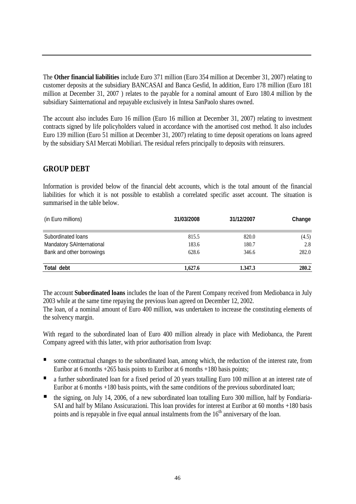The **Other financial liabilities** include Euro 371 million (Euro 354 million at December 31, 2007) relating to customer deposits at the subsidiary BANCASAI and Banca Gesfid, In addition, Euro 178 million (Euro 181 million at December 31, 2007 ) relates to the payable for a nominal amount of Euro 180.4 million by the subsidiary Sainternational and repayable exclusively in Intesa SanPaolo shares owned.

The account also includes Euro 16 million (Euro 16 million at December 31, 2007) relating to investment contracts signed by life policyholders valued in accordance with the amortised cost method. It also includes Euro 139 million (Euro 51 million at December 31, 2007) relating to time deposit operations on loans agreed by the subsidiary SAI Mercati Mobiliari. The residual refers principally to deposits with reinsurers.

#### **GROUP DEBT**

Information is provided below of the financial debt accounts, which is the total amount of the financial liabilities for which it is not possible to establish a correlated specific asset account. The situation is summarised in the table below.

| (in Euro millions)        | 31/03/2008 | 31/12/2007 | Change |  |
|---------------------------|------------|------------|--------|--|
| Subordinated loans        | 815.5      | 820.0      | (4.5)  |  |
| Mandatory SAInternational | 183.6      | 180.7      | 2.8    |  |
| Bank and other borrowings | 628.6      | 346.6      | 282.0  |  |
| Total debt                | 1.627.6    | 1.347.3    | 280.2  |  |

The account **Subordinated loans** includes the loan of the Parent Company received from Mediobanca in July 2003 while at the same time repaying the previous loan agreed on December 12, 2002.

The loan, of a nominal amount of Euro 400 million, was undertaken to increase the constituting elements of the solvency margin.

With regard to the subordinated loan of Euro 400 million already in place with Mediobanca, the Parent Company agreed with this latter, with prior authorisation from Isvap:

- some contractual changes to the subordinated loan, among which, the reduction of the interest rate, from Euribor at 6 months +265 basis points to Euribor at 6 months +180 basis points;
- a further subordinated loan for a fixed period of 20 years totalling Euro 100 million at an interest rate of Euribor at 6 months +180 basis points, with the same conditions of the previous subordinated loan;
- the signing, on July 14, 2006, of a new subordinated loan totalling Euro 300 million, half by Fondiaria-SAI and half by Milano Assicurazioni. This loan provides for interest at Euribor at 60 months +180 basis points and is repayable in five equal annual instalments from the  $16<sup>th</sup>$  anniversary of the loan.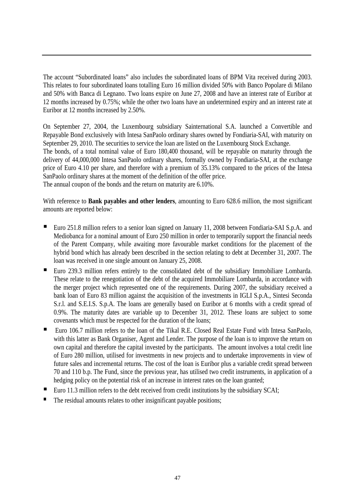The account "Subordinated loans" also includes the subordinated loans of BPM Vita received during 2003. This relates to four subordinated loans totalling Euro 16 million divided 50% with Banco Popolare di Milano and 50% with Banca di Legnano. Two loans expire on June 27, 2008 and have an interest rate of Euribor at 12 months increased by 0.75%; while the other two loans have an undetermined expiry and an interest rate at Euribor at 12 months increased by 2.50%.

On September 27, 2004, the Luxembourg subsidiary Sainternational S.A. launched a Convertible and Repayable Bond exclusively with Intesa SanPaolo ordinary shares owned by Fondiaria-SAI, with maturity on September 29, 2010. The securities to service the loan are listed on the Luxembourg Stock Exchange. The bonds, of a total nominal value of Euro 180,400 thousand, will be repayable on maturity through the delivery of 44,000,000 Intesa SanPaolo ordinary shares, formally owned by Fondiaria-SAI, at the exchange price of Euro 4.10 per share, and therefore with a premium of 35.13% compared to the prices of the Intesa SanPaolo ordinary shares at the moment of the definition of the offer price. The annual coupon of the bonds and the return on maturity are 6.10%.

With reference to **Bank payables and other lenders**, amounting to Euro 628.6 million, the most significant amounts are reported below:

- Euro 251.8 million refers to a senior loan signed on January 11, 2008 between Fondiaria-SAI S.p.A. and Mediobanca for a nominal amount of Euro 250 million in order to temporarily support the financial needs of the Parent Company, while awaiting more favourable market conditions for the placement of the hybrid bond which has already been described in the section relating to debt at December 31, 2007. The loan was received in one single amount on January 25, 2008.
- Euro 239.3 million refers entirely to the consolidated debt of the subsidiary Immobiliare Lombarda. These relate to the renegotiation of the debt of the acquired Immobiliare Lombarda, in accordance with the merger project which represented one of the requirements. During 2007, the subsidiary received a bank loan of Euro 83 million against the acquisition of the investments in IGLI S.p.A., Sintesi Seconda S.r.l. and S.E.I.S. S.p.A. The loans are generally based on Euribor at 6 months with a credit spread of 0.9%. The maturity dates are variable up to December 31, 2012. These loans are subject to some covenants which must be respected for the duration of the loans;
- Euro 106.7 million refers to the loan of the Tikal R.E. Closed Real Estate Fund with Intesa SanPaolo, with this latter as Bank Organiser, Agent and Lender. The purpose of the loan is to improve the return on own capital and therefore the capital invested by the participants. The amount involves a total credit line of Euro 280 million, utilised for investments in new projects and to undertake improvements in view of future sales and incremental returns. The cost of the loan is Euribor plus a variable credit spread between 70 and 110 b.p. The Fund, since the previous year, has utilised two credit instruments, in application of a hedging policy on the potential risk of an increase in interest rates on the loan granted;
- Euro 11.3 million refers to the debt received from credit institutions by the subsidiary SCAI;
- The residual amounts relates to other insignificant payable positions;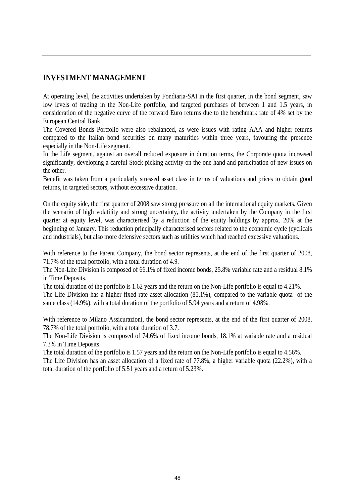## **INVESTMENT MANAGEMENT**

At operating level, the activities undertaken by Fondiaria-SAI in the first quarter, in the bond segment, saw low levels of trading in the Non-Life portfolio, and targeted purchases of between 1 and 1.5 years, in consideration of the negative curve of the forward Euro returns due to the benchmark rate of 4% set by the European Central Bank.

The Covered Bonds Portfolio were also rebalanced, as were issues with rating AAA and higher returns compared to the Italian bond securities on many maturities within three years, favouring the presence especially in the Non-Life segment.

In the Life segment, against an overall reduced exposure in duration terms, the Corporate quota increased significantly, developing a careful Stock picking activity on the one hand and participation of new issues on the other.

Benefit was taken from a particularly stressed asset class in terms of valuations and prices to obtain good returns, in targeted sectors, without excessive duration.

On the equity side, the first quarter of 2008 saw strong pressure on all the international equity markets. Given the scenario of high volatility and strong uncertainty, the activity undertaken by the Company in the first quarter at equity level, was characterised by a reduction of the equity holdings by approx. 20% at the beginning of January. This reduction principally characterised sectors related to the economic cycle (cyclicals and industrials), but also more defensive sectors such as utilities which had reached excessive valuations.

With reference to the Parent Company, the bond sector represents, at the end of the first quarter of 2008, 71.7% of the total portfolio, with a total duration of 4.9.

The Non-Life Division is composed of 66.1% of fixed income bonds, 25.8% variable rate and a residual 8.1% in Time Deposits.

The total duration of the portfolio is 1.62 years and the return on the Non-Life portfolio is equal to 4.21%.

The Life Division has a higher fixed rate asset allocation (85.1%), compared to the variable quota of the same class (14.9%), with a total duration of the portfolio of 5.94 years and a return of 4.98%.

With reference to Milano Assicurazioni, the bond sector represents, at the end of the first quarter of 2008, 78.7% of the total portfolio, with a total duration of 3.7.

The Non-Life Division is composed of 74.6% of fixed income bonds, 18.1% at variable rate and a residual 7.3% in Time Deposits.

The total duration of the portfolio is 1.57 years and the return on the Non-Life portfolio is equal to 4.56%.

The Life Division has an asset allocation of a fixed rate of 77.8%, a higher variable quota (22.2%), with a total duration of the portfolio of 5.51 years and a return of 5.23%.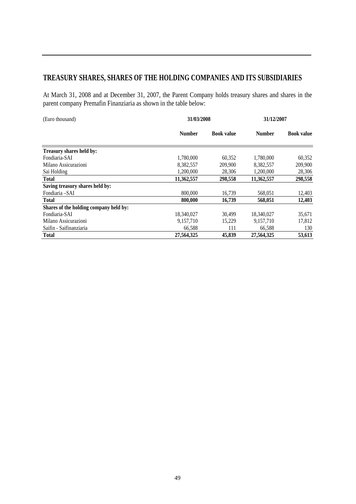## **TREASURY SHARES, SHARES OF THE HOLDING COMPANIES AND ITS SUBSIDIARIES**

At March 31, 2008 and at December 31, 2007, the Parent Company holds treasury shares and shares in the parent company Premafin Finanziaria as shown in the table below:

| (Euro thousand)                        | 31/03/2008    | 31/12/2007        |               |                   |
|----------------------------------------|---------------|-------------------|---------------|-------------------|
|                                        | <b>Number</b> | <b>Book value</b> | <b>Number</b> | <b>Book value</b> |
| Treasury shares held by:               |               |                   |               |                   |
| Fondiaria-SAI                          | 1,780,000     | 60,352            | 1,780,000     | 60,352            |
| Milano Assicurazioni                   | 8,382,557     | 209,900           | 8,382,557     | 209,900           |
| Sai Holding                            | 1,200,000     | 28,306            | 1,200,000     | 28,306            |
| <b>Total</b>                           | 11,362,557    | 298,558           | 11,362,557    | 298,558           |
| Saving treasury shares held by:        |               |                   |               |                   |
| Fondiaria – SAI                        | 800,000       | 16,739            | 568,051       | 12,403            |
| Total                                  | 800,000       | 16,739            | 568,051       | 12,403            |
| Shares of the holding company held by: |               |                   |               |                   |
| Fondiaria-SAI                          | 18,340,027    | 30.499            | 18,340,027    | 35,671            |
| Milano Assicurazioni                   | 9,157,710     | 15.229            | 9.157.710     | 17,812            |
| Saifin - Saifinanziaria                | 66,588        | 111               | 66,588        | 130               |
| Total                                  | 27.564.325    | 45,839            | 27.564.325    | 53,613            |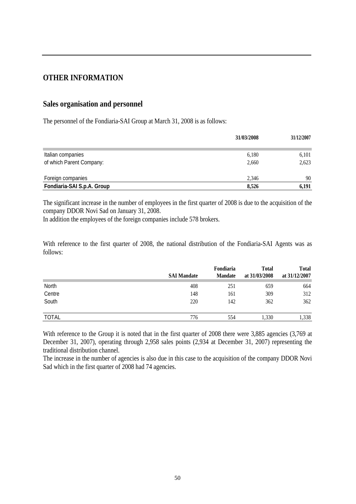### **OTHER INFORMATION**

#### **Sales organisation and personnel**

The personnel of the Fondiaria-SAI Group at March 31, 2008 is as follows:

|                            | 31/03/2008 | 31/12/2007 |
|----------------------------|------------|------------|
| Italian companies          | 6,180      | 6,101      |
| of which Parent Company:   | 2,660      | 2,623      |
|                            |            |            |
| Foreign companies          | 2.346      | 90         |
| Fondiaria-SAI S.p.A. Group | 8,526      | 6,191      |

The significant increase in the number of employees in the first quarter of 2008 is due to the acquisition of the company DDOR Novi Sad on January 31, 2008.

In addition the employees of the foreign companies include 578 brokers.

With reference to the first quarter of 2008, the national distribution of the Fondiaria-SAI Agents was as follows:

|              | <b>SAI Mandate</b> | Fondiaria<br><b>Mandate</b> | <b>Total</b><br>at 31/03/2008 | <b>Total</b><br>at 31/12/2007 |
|--------------|--------------------|-----------------------------|-------------------------------|-------------------------------|
| North        | 408                | 251                         | 659                           | 664                           |
| Centre       | 148                | 161                         | 309                           | 312                           |
| South        | 220                | 142                         | 362                           | 362                           |
| <b>TOTAL</b> | 776                | 554                         | 1,330                         | 1,338                         |

With reference to the Group it is noted that in the first quarter of 2008 there were 3,885 agencies (3,769 at December 31, 2007), operating through 2,958 sales points (2,934 at December 31, 2007) representing the traditional distribution channel.

The increase in the number of agencies is also due in this case to the acquisition of the company DDOR Novi Sad which in the first quarter of 2008 had 74 agencies.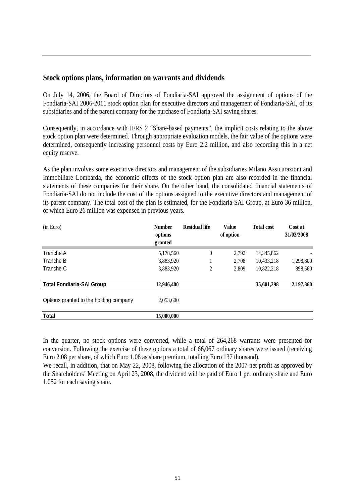#### **Stock options plans, information on warrants and dividends**

On July 14, 2006, the Board of Directors of Fondiaria-SAI approved the assignment of options of the Fondiaria-SAI 2006-2011 stock option plan for executive directors and management of Fondiaria-SAI, of its subsidiaries and of the parent company for the purchase of Fondiaria-SAI saving shares.

Consequently, in accordance with IFRS 2 "Share-based payments", the implicit costs relating to the above stock option plan were determined. Through appropriate evaluation models, the fair value of the options were determined, consequently increasing personnel costs by Euro 2.2 million, and also recording this in a net equity reserve.

As the plan involves some executive directors and management of the subsidiaries Milano Assicurazioni and Immobiliare Lombarda, the economic effects of the stock option plan are also recorded in the financial statements of these companies for their share. On the other hand, the consolidated financial statements of Fondiaria-SAI do not include the cost of the options assigned to the executive directors and management of its parent company. The total cost of the plan is estimated, for the Fondiaria-SAI Group, at Euro 36 million, of which Euro 26 million was expensed in previous years.

| (in Euro)                              | <b>Number</b><br>options<br>granted | <b>Residual life</b> | Value<br>of option | <b>Total cost</b> | Cost at<br>31/03/2008 |
|----------------------------------------|-------------------------------------|----------------------|--------------------|-------------------|-----------------------|
| Tranche A                              | 5,178,560                           | $\overline{0}$       | 2,792              | 14,345,862        |                       |
| Tranche B                              | 3,883,920                           |                      | 2.708              | 10,433,218        | 1,298,800             |
| Tranche C                              | 3,883,920                           | $\overline{c}$       | 2.809              | 10,822,218        | 898,560               |
| <b>Total Fondiaria-SAI Group</b>       | 12,946,400                          |                      |                    | 35,601,298        | 2,197,360             |
| Options granted to the holding company | 2,053,600                           |                      |                    |                   |                       |
| <b>Total</b>                           | 15,000,000                          |                      |                    |                   |                       |

In the quarter, no stock options were converted, while a total of 264,268 warrants were presented for conversion. Following the exercise of these options a total of 66,067 ordinary shares were issued (receiving Euro 2.08 per share, of which Euro 1.08 as share premium, totalling Euro 137 thousand).

We recall, in addition, that on May 22, 2008, following the allocation of the 2007 net profit as approved by the Shareholders' Meeting on April 23, 2008, the dividend will be paid of Euro 1 per ordinary share and Euro 1.052 for each saving share.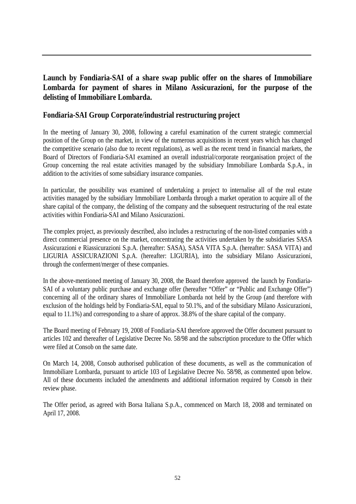## **Launch by Fondiaria-SAI of a share swap public offer on the shares of Immobiliare Lombarda for payment of shares in Milano Assicurazioni, for the purpose of the delisting of Immobiliare Lombarda.**

### **Fondiaria-SAI Group Corporate/industrial restructuring project**

In the meeting of January 30, 2008, following a careful examination of the current strategic commercial position of the Group on the market, in view of the numerous acquisitions in recent years which has changed the competitive scenario (also due to recent regulations), as well as the recent trend in financial markets, the Board of Directors of Fondiaria-SAI examined an overall industrial/corporate reorganisation project of the Group concerning the real estate activities managed by the subsidiary Immobiliare Lombarda S.p.A., in addition to the activities of some subsidiary insurance companies.

In particular, the possibility was examined of undertaking a project to internalise all of the real estate activities managed by the subsidiary Immobiliare Lombarda through a market operation to acquire all of the share capital of the company, the delisting of the company and the subsequent restructuring of the real estate activities within Fondiaria-SAI and Milano Assicurazioni.

The complex project, as previously described, also includes a restructuring of the non-listed companies with a direct commercial presence on the market, concentrating the activities undertaken by the subsidiaries SASA Assicurazioni e Riassicurazioni S.p.A. (hereafter: SASA), SASA VITA S.p.A. (hereafter: SASA VITA) and LIGURIA ASSICURAZIONI S.p.A. (hereafter: LIGURIA), into the subsidiary Milano Assicurazioni, through the conferment/merger of these companies.

In the above-mentioned meeting of January 30, 2008, the Board therefore approved the launch by Fondiaria-SAI of a voluntary public purchase and exchange offer (hereafter "Offer" or "Public and Exchange Offer") concerning all of the ordinary shares of Immobiliare Lombarda not held by the Group (and therefore with exclusion of the holdings held by Fondiaria-SAI, equal to 50.1%, and of the subsidiary Milano Assicurazioni, equal to 11.1%) and corresponding to a share of approx. 38.8% of the share capital of the company.

The Board meeting of February 19, 2008 of Fondiaria-SAI therefore approved the Offer document pursuant to articles 102 and thereafter of Legislative Decree No. 58/98 and the subscription procedure to the Offer which were filed at Consob on the same date.

On March 14, 2008, Consob authorised publication of these documents, as well as the communication of Immobiliare Lombarda, pursuant to article 103 of Legislative Decree No. 58/98, as commented upon below. All of these documents included the amendments and additional information required by Consob in their review phase.

The Offer period, as agreed with Borsa Italiana S.p.A., commenced on March 18, 2008 and terminated on April 17, 2008.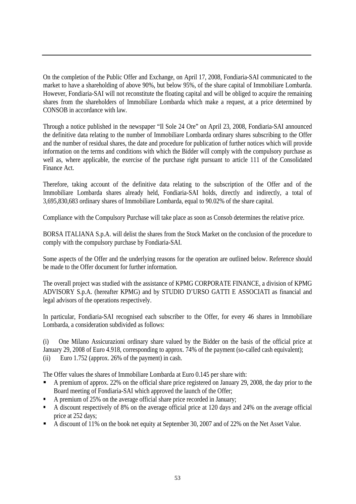On the completion of the Public Offer and Exchange, on April 17, 2008, Fondiaria-SAI communicated to the market to have a shareholding of above 90%, but below 95%, of the share capital of Immobiliare Lombarda. However, Fondiaria-SAI will not reconstitute the floating capital and will be obliged to acquire the remaining shares from the shareholders of Immobiliare Lombarda which make a request, at a price determined by CONSOB in accordance with law.

Through a notice published in the newspaper "Il Sole 24 Ore" on April 23, 2008, Fondiaria-SAI announced the definitive data relating to the number of Immobiliare Lombarda ordinary shares subscribing to the Offer and the number of residual shares, the date and procedure for publication of further notices which will provide information on the terms and conditions with which the Bidder will comply with the compulsory purchase as well as, where applicable, the exercise of the purchase right pursuant to article 111 of the Consolidated Finance Act.

Therefore, taking account of the definitive data relating to the subscription of the Offer and of the Immobiliare Lombarda shares already held, Fondiaria-SAI holds, directly and indirectly, a total of 3,695,830,683 ordinary shares of Immobiliare Lombarda, equal to 90.02% of the share capital.

Compliance with the Compulsory Purchase will take place as soon as Consob determines the relative price.

BORSA ITALIANA S.p.A. will delist the shares from the Stock Market on the conclusion of the procedure to comply with the compulsory purchase by Fondiaria-SAI.

Some aspects of the Offer and the underlying reasons for the operation are outlined below. Reference should be made to the Offer document for further information.

The overall project was studied with the assistance of KPMG CORPORATE FINANCE, a division of KPMG ADVISORY S.p.A. (hereafter KPMG) and by STUDIO D'URSO GATTI E ASSOCIATI as financial and legal advisors of the operations respectively.

In particular, Fondiaria-SAI recognised each subscriber to the Offer, for every 46 shares in Immobiliare Lombarda, a consideration subdivided as follows:

(i) One Milano Assicurazioni ordinary share valued by the Bidder on the basis of the official price at January 29, 2008 of Euro 4.918, corresponding to approx. 74% of the payment (so-called cash equivalent); (ii) Euro 1.752 (approx. 26% of the payment) in cash.

The Offer values the shares of Immobiliare Lombarda at Euro 0.145 per share with:

- A premium of approx. 22% on the official share price registered on January 29, 2008, the day prior to the Board meeting of Fondiaria-SAI which approved the launch of the Offer;
- A premium of 25% on the average official share price recorded in January;
- A discount respectively of 8% on the average official price at 120 days and 24% on the average official price at 252 days;
- A discount of 11% on the book net equity at September 30, 2007 and of 22% on the Net Asset Value.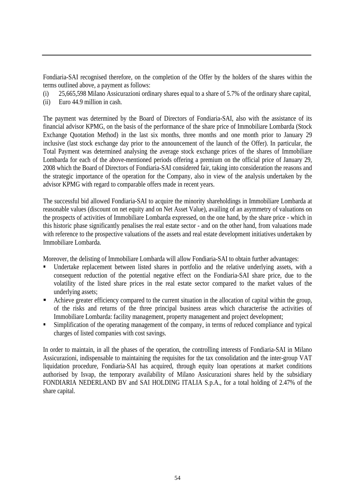Fondiaria-SAI recognised therefore, on the completion of the Offer by the holders of the shares within the terms outlined above, a payment as follows:

- (i) 25,665,598 Milano Assicurazioni ordinary shares equal to a share of 5.7% of the ordinary share capital,
- (ii) Euro 44.9 million in cash.

The payment was determined by the Board of Directors of Fondiaria-SAI, also with the assistance of its financial advisor KPMG, on the basis of the performance of the share price of Immobiliare Lombarda (Stock Exchange Quotation Method) in the last six months, three months and one month prior to January 29 inclusive (last stock exchange day prior to the announcement of the launch of the Offer). In particular, the Total Payment was determined analysing the average stock exchange prices of the shares of Immobiliare Lombarda for each of the above-mentioned periods offering a premium on the official price of January 29, 2008 which the Board of Directors of Fondiaria-SAI considered fair, taking into consideration the reasons and the strategic importance of the operation for the Company, also in view of the analysis undertaken by the advisor KPMG with regard to comparable offers made in recent years.

The successful bid allowed Fondiaria-SAI to acquire the minority shareholdings in Immobiliare Lombarda at reasonable values (discount on net equity and on Net Asset Value), availing of an asymmetry of valuations on the prospects of activities of Immobiliare Lombarda expressed, on the one hand, by the share price - which in this historic phase significantly penalises the real estate sector - and on the other hand, from valuations made with reference to the prospective valuations of the assets and real estate development initiatives undertaken by Immobiliare Lombarda.

Moreover, the delisting of Immobiliare Lombarda will allow Fondiaria-SAI to obtain further advantages:

- Undertake replacement between listed shares in portfolio and the relative underlying assets, with a consequent reduction of the potential negative effect on the Fondiaria-SAI share price, due to the volatility of the listed share prices in the real estate sector compared to the market values of the underlying assets;
- Achieve greater efficiency compared to the current situation in the allocation of capital within the group, of the risks and returns of the three principal business areas which characterise the activities of Immobiliare Lombarda: facility management, property management and project development;
- **Simplification of the operating management of the company, in terms of reduced compliance and typical** charges of listed companies with cost savings.

In order to maintain, in all the phases of the operation, the controlling interests of Fondiaria-SAI in Milano Assicurazioni, indispensable to maintaining the requisites for the tax consolidation and the inter-group VAT liquidation procedure, Fondiaria-SAI has acquired, through equity loan operations at market conditions authorised by Isvap, the temporary availability of Milano Assicurazioni shares held by the subsidiary FONDIARIA NEDERLAND BV and SAI HOLDING ITALIA S.p.A., for a total holding of 2.47% of the share capital.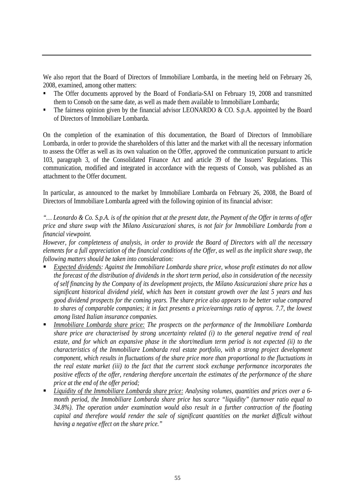We also report that the Board of Directors of Immobiliare Lombarda, in the meeting held on February 26, 2008, examined, among other matters:

- The Offer documents approved by the Board of Fondiaria-SAI on February 19, 2008 and transmitted them to Consob on the same date, as well as made them available to Immobiliare Lombarda;
- The fairness opinion given by the financial advisor LEONARDO & CO. S.p.A. appointed by the Board of Directors of Immobiliare Lombarda.

On the completion of the examination of this documentation, the Board of Directors of Immobiliare Lombarda, in order to provide the shareholders of this latter and the market with all the necessary information to assess the Offer as well as its own valuation on the Offer, approved the communication pursuant to article 103, paragraph 3, of the Consolidated Finance Act and article 39 of the Issuers' Regulations. This communication, modified and integrated in accordance with the requests of Consob, was published as an attachment to the Offer document.

In particular, as announced to the market by Immobiliare Lombarda on February 26, 2008, the Board of Directors of Immobiliare Lombarda agreed with the following opinion of its financial advisor:

*"… Leonardo & Co. S.p.A. is of the opinion that at the present date, the Payment of the Offer in terms of offer price and share swap with the Milano Assicurazioni shares, is not fair for Immobiliare Lombarda from a financial viewpoint.* 

*However, for completeness of analysis, in order to provide the Board of Directors with all the necessary elements for a full appreciation of the financial conditions of the Offer, as well as the implicit share swap, the following matters should be taken into consideration:* 

- *Expected dividends: Against the Immobiliare Lombarda share price, whose profit estimates do not allow the forecast of the distribution of dividends in the short term period, also in consideration of the necessity of self financing by the Company of its development projects, the Milano Assicurazioni share price has a significant historical dividend yield, which has been in constant growth over the last 5 years and has good dividend prospects for the coming years. The share price also appears to be better value compared to shares of comparable companies; it in fact presents a price/earnings ratio of approx. 7.7, the lowest among listed Italian insurance companies.*
- *Immobiliare Lombarda share price: The prospects on the performance of the Immobiliare Lombarda share price are characterised by strong uncertainty related (i) to the general negative trend of real estate, and for which an expansive phase in the short/medium term period is not expected (ii) to the characteristics of the Immobiliare Lombarda real estate portfolio, with a strong project development component, which results in fluctuations of the share price more than proportional to the fluctuations in the real estate market (iii) to the fact that the current stock exchange performance incorporates the positive effects of the offer, rendering therefore uncertain the estimates of the performance of the share price at the end of the offer period;*
- *Liquidity of the Immobiliare Lombarda share price: Analysing volumes, quantities and prices over a 6 month period, the Immobiliare Lombarda share price has scarce "liquidity" (turnover ratio equal to 34.8%). The operation under examination would also result in a further contraction of the floating capital and therefore would render the sale of significant quantities on the market difficult without having a negative effect on the share price."*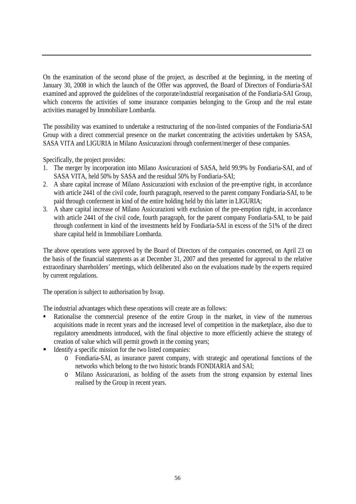On the examination of the second phase of the project, as described at the beginning, in the meeting of January 30, 2008 in which the launch of the Offer was approved, the Board of Directors of Fondiaria-SAI examined and approved the guidelines of the corporate/industrial reorganisation of the Fondiaria-SAI Group, which concerns the activities of some insurance companies belonging to the Group and the real estate activities managed by Immobiliare Lombarda.

The possibility was examined to undertake a restructuring of the non-listed companies of the Fondiaria-SAI Group with a direct commercial presence on the market concentrating the activities undertaken by SASA, SASA VITA and LIGURIA in Milano Assicurazioni through conferment/merger of these companies.

Specifically, the project provides:

- 1. The merger by incorporation into Milano Assicurazioni of SASA, held 99.9% by Fondiaria-SAI, and of SASA VITA, held 50% by SASA and the residual 50% by Fondiaria-SAI;
- 2. A share capital increase of Milano Assicurazioni with exclusion of the pre-emptive right, in accordance with article 2441 of the civil code, fourth paragraph, reserved to the parent company Fondiaria-SAI, to be paid through conferment in kind of the entire holding held by this latter in LIGURIA;
- 3. A share capital increase of Milano Assicurazioni with exclusion of the pre-emption right, in accordance with article 2441 of the civil code, fourth paragraph, for the parent company Fondiaria-SAI, to be paid through conferment in kind of the investments held by Fondiaria-SAI in excess of the 51% of the direct share capital held in Immobiliare Lombarda.

The above operations were approved by the Board of Directors of the companies concerned, on April 23 on the basis of the financial statements as at December 31, 2007 and then presented for approval to the relative extraordinary shareholders' meetings, which deliberated also on the evaluations made by the experts required by current regulations.

The operation is subject to authorisation by Isvap.

The industrial advantages which these operations will create are as follows:

- Rationalise the commercial presence of the entire Group in the market, in view of the numerous acquisitions made in recent years and the increased level of competition in the marketplace, also due to regulatory amendments introduced, with the final objective to more efficiently achieve the strategy of creation of value which will permit growth in the coming years;
- Identify a specific mission for the two listed companies:
	- o Fondiaria-SAI, as insurance parent company, with strategic and operational functions of the networks which belong to the two historic brands FONDIARIA and SAI;
	- o Milano Assicurazioni, as holding of the assets from the strong expansion by external lines realised by the Group in recent years.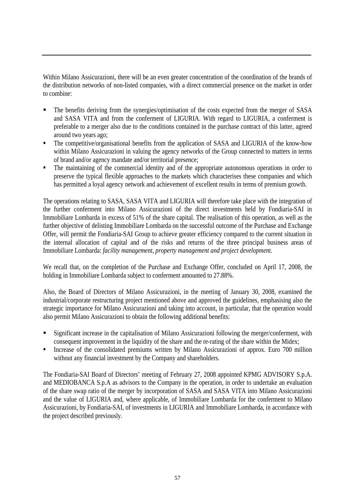Within Milano Assicurazioni, there will be an even greater concentration of the coordination of the brands of the distribution networks of non-listed companies, with a direct commercial presence on the market in order to combine:

- The benefits deriving from the synergies/optimisation of the costs expected from the merger of SASA and SASA VITA and from the conferment of LIGURIA. With regard to LIGURIA, a conferment is preferable to a merger also due to the conditions contained in the purchase contract of this latter, agreed around two years ago;
- The competitive/organisational benefits from the application of SASA and LIGURIA of the know-how within Milano Assicurazioni in valuing the agency networks of the Group connected to matters in terms of brand and/or agency mandate and/or territorial presence;
- The maintaining of the commercial identity and of the appropriate autonomous operations in order to preserve the typical flexible approaches to the markets which characterises these companies and which has permitted a loyal agency network and achievement of excellent results in terms of premium growth.

The operations relating to SASA, SASA VITA and LIGURIA will therefore take place with the integration of the further conferment into Milano Assicurazioni of the direct investments held by Fondiaria-SAI in Immobiliare Lombarda in excess of 51% of the share capital. The realisation of this operation, as well as the further objective of delisting Immobiliare Lombarda on the successful outcome of the Purchase and Exchange Offer, will permit the Fondiaria-SAI Group to achieve greater efficiency compared to the current situation in the internal allocation of capital and of the risks and returns of the three principal business areas of Immobiliare Lombarda: *facility management, property management and project development.*

We recall that, on the completion of the Purchase and Exchange Offer, concluded on April 17, 2008, the holding in Immobiliare Lombarda subject to conferment amounted to 27.88%.

Also, the Board of Directors of Milano Assicurazioni, in the meeting of January 30, 2008, examined the industrial/corporate restructuring project mentioned above and approved the guidelines, emphasising also the strategic importance for Milano Assicurazioni and taking into account, in particular, that the operation would also permit Milano Assicurazioni to obtain the following additional benefits:

- Significant increase in the capitalisation of Milano Assicurazioni following the merger/conferment, with consequent improvement in the liquidity of the share and the re-rating of the share within the Midex;
- Increase of the consolidated premiums written by Milano Assicurazioni of approx. Euro 700 million without any financial investment by the Company and shareholders.

The Fondiaria-SAI Board of Directors' meeting of February 27, 2008 appointed KPMG ADVISORY S.p.A. and MEDIOBANCA S.p.A as advisors to the Company in the operation, in order to undertake an evaluation of the share swap ratio of the merger by incorporation of SASA and SASA VITA into Milano Assicurazioni and the value of LIGURIA and, where applicable, of Immobiliare Lombarda for the conferment to Milano Assicurazioni, by Fondiaria-SAI, of investments in LIGURIA and Immobiliare Lombarda, in accordance with the project described previously.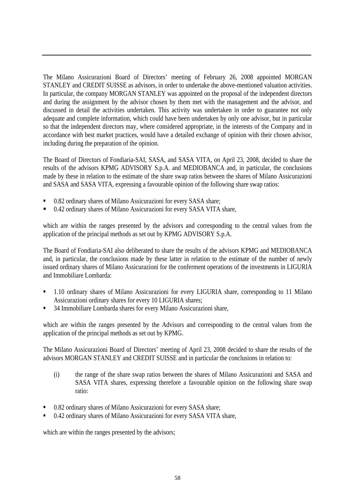The Milano Assicurazioni Board of Directors' meeting of February 26, 2008 appointed MORGAN STANLEY and CREDIT SUISSE as advisors, in order to undertake the above-mentioned valuation activities. In particular, the company MORGAN STANLEY was appointed on the proposal of the independent directors and during the assignment by the advisor chosen by them met with the management and the advisor, and discussed in detail the activities undertaken. This activity was undertaken in order to guarantee not only adequate and complete information, which could have been undertaken by only one advisor, but in particular so that the independent directors may, where considered appropriate, in the interests of the Company and in accordance with best market practices, would have a detailed exchange of opinion with their chosen advisor, including during the preparation of the opinion.

The Board of Directors of Fondiaria-SAI, SASA, and SASA VITA, on April 23, 2008, decided to share the results of the advisors KPMG ADVISORY S.p.A. and MEDIOBANCA and, in particular, the conclusions made by these in relation to the estimate of the share swap ratios between the shares of Milano Assicurazioni and SASA and SASA VITA, expressing a favourable opinion of the following share swap ratios:

- 0.82 ordinary shares of Milano Assicurazioni for every SASA share;
- 0.42 ordinary shares of Milano Assicurazioni for every SASA VITA share,

which are within the ranges presented by the advisors and corresponding to the central values from the application of the principal methods as set out by KPMG ADVISORY S.p.A.

The Board of Fondiaria-SAI also deliberated to share the results of the advisors KPMG and MEDIOBANCA and, in particular, the conclusions made by these latter in relation to the estimate of the number of newly issued ordinary shares of Milano Assicurazioni for the conferment operations of the investments in LIGURIA and Immobiliare Lombarda:

- 1.10 ordinary shares of Milano Assicurazioni for every LIGURIA share, corresponding to 11 Milano Assicurazioni ordinary shares for every 10 LIGURIA shares;
- 34 Immobiliare Lombarda shares for every Milano Assicurazioni share,

which are within the ranges presented by the Advisors and corresponding to the central values from the application of the principal methods as set out by KPMG.

The Milano Assicurazioni Board of Directors' meeting of April 23, 2008 decided to share the results of the advisors MORGAN STANLEY and CREDIT SUISSE and in particular the conclusions in relation to:

- (i) the range of the share swap ratios between the shares of Milano Assicurazioni and SASA and SASA VITA shares, expressing therefore a favourable opinion on the following share swap ratio:
- 0.82 ordinary shares of Milano Assicurazioni for every SASA share;
- 0.42 ordinary shares of Milano Assicurazioni for every SASA VITA share,

which are within the ranges presented by the advisors;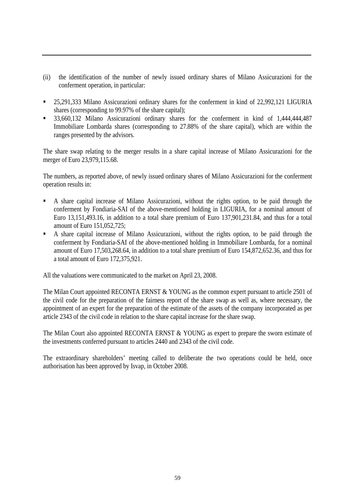- (ii) the identification of the number of newly issued ordinary shares of Milano Assicurazioni for the conferment operation, in particular:
- <sup>25</sup>,291,333 Milano Assicurazioni ordinary shares for the conferment in kind of 22,992,121 LIGURIA shares (corresponding to 99.97% of the share capital);
- <sup>33</sup>,660,132 Milano Assicurazioni ordinary shares for the conferment in kind of 1,444,444,487 Immobiliare Lombarda shares (corresponding to 27.88% of the share capital), which are within the ranges presented by the advisors.

The share swap relating to the merger results in a share capital increase of Milano Assicurazioni for the merger of Euro 23,979,115.68.

The numbers, as reported above, of newly issued ordinary shares of Milano Assicurazioni for the conferment operation results in:

- A share capital increase of Milano Assicurazioni, without the rights option, to be paid through the conferment by Fondiaria-SAI of the above-mentioned holding in LIGURIA, for a nominal amount of Euro 13,151,493.16, in addition to a total share premium of Euro 137,901,231.84, and thus for a total amount of Euro 151,052,725;
- A share capital increase of Milano Assicurazioni, without the rights option, to be paid through the conferment by Fondiaria-SAI of the above-mentioned holding in Immobiliare Lombarda, for a nominal amount of Euro 17,503,268.64, in addition to a total share premium of Euro 154,872,652.36, and thus for a total amount of Euro 172,375,921.

All the valuations were communicated to the market on April 23, 2008.

The Milan Court appointed RECONTA ERNST & YOUNG as the common expert pursuant to article 2501 of the civil code for the preparation of the fairness report of the share swap as well as, where necessary, the appointment of an expert for the preparation of the estimate of the assets of the company incorporated as per article 2343 of the civil code in relation to the share capital increase for the share swap.

The Milan Court also appointed RECONTA ERNST & YOUNG as expert to prepare the sworn estimate of the investments conferred pursuant to articles 2440 and 2343 of the civil code.

The extraordinary shareholders' meeting called to deliberate the two operations could be held, once authorisation has been approved by Isvap, in October 2008.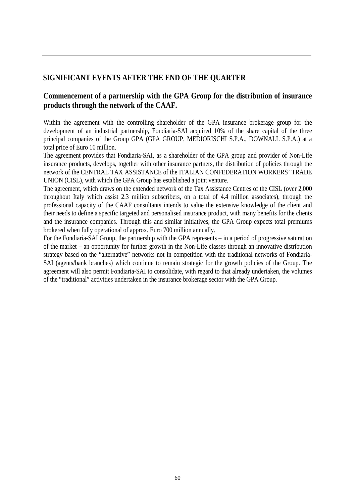### **SIGNIFICANT EVENTS AFTER THE END OF THE QUARTER**

## **Commencement of a partnership with the GPA Group for the distribution of insurance products through the network of the CAAF.**

Within the agreement with the controlling shareholder of the GPA insurance brokerage group for the development of an industrial partnership, Fondiaria-SAI acquired 10% of the share capital of the three principal companies of the Group GPA (GPA GROUP, MEDIORISCHI S.P.A., DOWNALL S.P.A.) at a total price of Euro 10 million.

The agreement provides that Fondiaria-SAI, as a shareholder of the GPA group and provider of Non-Life insurance products, develops, together with other insurance partners, the distribution of policies through the network of the CENTRAL TAX ASSISTANCE of the ITALIAN CONFEDERATION WORKERS' TRADE UNION (CISL), with which the GPA Group has established a joint venture.

The agreement, which draws on the extended network of the Tax Assistance Centres of the CISL (over 2,000 throughout Italy which assist 2.3 million subscribers, on a total of 4.4 million associates), through the professional capacity of the CAAF consultants intends to value the extensive knowledge of the client and their needs to define a specific targeted and personalised insurance product, with many benefits for the clients and the insurance companies. Through this and similar initiatives, the GPA Group expects total premiums brokered when fully operational of approx. Euro 700 million annually.

For the Fondiaria-SAI Group, the partnership with the GPA represents – in a period of progressive saturation of the market – an opportunity for further growth in the Non-Life classes through an innovative distribution strategy based on the "alternative" networks not in competition with the traditional networks of Fondiaria-SAI (agents/bank branches) which continue to remain strategic for the growth policies of the Group. The agreement will also permit Fondiaria-SAI to consolidate, with regard to that already undertaken, the volumes of the "traditional" activities undertaken in the insurance brokerage sector with the GPA Group.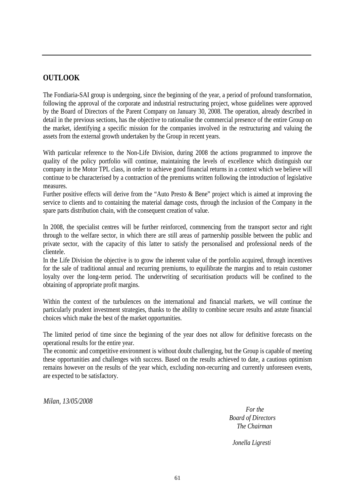### **OUTLOOK**

The Fondiaria-SAI group is undergoing, since the beginning of the year, a period of profound transformation, following the approval of the corporate and industrial restructuring project, whose guidelines were approved by the Board of Directors of the Parent Company on January 30, 2008. The operation, already described in detail in the previous sections, has the objective to rationalise the commercial presence of the entire Group on the market, identifying a specific mission for the companies involved in the restructuring and valuing the assets from the external growth undertaken by the Group in recent years.

With particular reference to the Non-Life Division, during 2008 the actions programmed to improve the quality of the policy portfolio will continue, maintaining the levels of excellence which distinguish our company in the Motor TPL class, in order to achieve good financial returns in a context which we believe will continue to be characterised by a contraction of the premiums written following the introduction of legislative measures.

Further positive effects will derive from the "Auto Presto & Bene" project which is aimed at improving the service to clients and to containing the material damage costs, through the inclusion of the Company in the spare parts distribution chain, with the consequent creation of value.

In 2008, the specialist centres will be further reinforced, commencing from the transport sector and right through to the welfare sector, in which there are still areas of partnership possible between the public and private sector, with the capacity of this latter to satisfy the personalised and professional needs of the clientele.

In the Life Division the objective is to grow the inherent value of the portfolio acquired, through incentives for the sale of traditional annual and recurring premiums, to equilibrate the margins and to retain customer loyalty over the long-term period. The underwriting of securitisation products will be confined to the obtaining of appropriate profit margins.

Within the context of the turbulences on the international and financial markets, we will continue the particularly prudent investment strategies, thanks to the ability to combine secure results and astute financial choices which make the best of the market opportunities.

The limited period of time since the beginning of the year does not allow for definitive forecasts on the operational results for the entire year.

The economic and competitive environment is without doubt challenging, but the Group is capable of meeting these opportunities and challenges with success. Based on the results achieved to date, a cautious optimism remains however on the results of the year which, excluding non-recurring and currently unforeseen events, are expected to be satisfactory.

*Milan, 13/05/2008* 

 *For the Board of Directors The Chairman* 

*Jonella Ligresti*